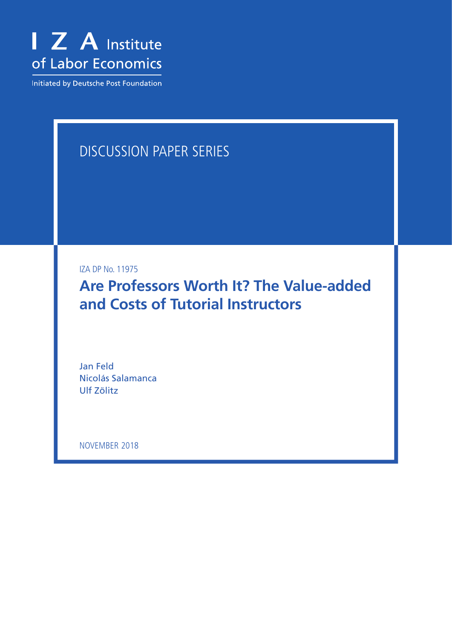

Initiated by Deutsche Post Foundation

# DISCUSSION PAPER SERIES

IZA DP No. 11975

**Are Professors Worth It? The Value-added and Costs of Tutorial Instructors**

Jan Feld Nicolás Salamanca Ulf Zölitz

NOVEMBER 2018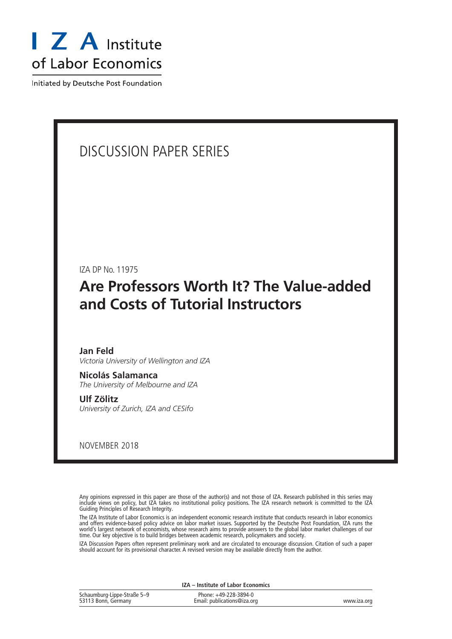

Initiated by Deutsche Post Foundation

# DISCUSSION PAPER SERIES

IZA DP No. 11975

# **Are Professors Worth It? The Value-added and Costs of Tutorial Instructors**

#### **Jan Feld**

*Victoria University of Wellington and IZA*

**Nicolás Salamanca** *The University of Melbourne and IZA*

**Ulf Zölitz** *University of Zurich, IZA and CESifo*

NOVEMBER 2018

Any opinions expressed in this paper are those of the author(s) and not those of IZA. Research published in this series may include views on policy, but IZA takes no institutional policy positions. The IZA research network is committed to the IZA Guiding Principles of Research Integrity.

The IZA Institute of Labor Economics is an independent economic research institute that conducts research in labor economics and offers evidence-based policy advice on labor market issues. Supported by the Deutsche Post Foundation, IZA runs the world's largest network of economists, whose research aims to provide answers to the global labor market challenges of our time. Our key objective is to build bridges between academic research, policymakers and society.

IZA Discussion Papers often represent preliminary work and are circulated to encourage discussion. Citation of such a paper should account for its provisional character. A revised version may be available directly from the author.

|                                                    | IZA - Institute of Labor Economics                   |             |
|----------------------------------------------------|------------------------------------------------------|-------------|
| Schaumburg-Lippe-Straße 5–9<br>53113 Bonn, Germany | Phone: +49-228-3894-0<br>Email: publications@iza.org | www.iza.org |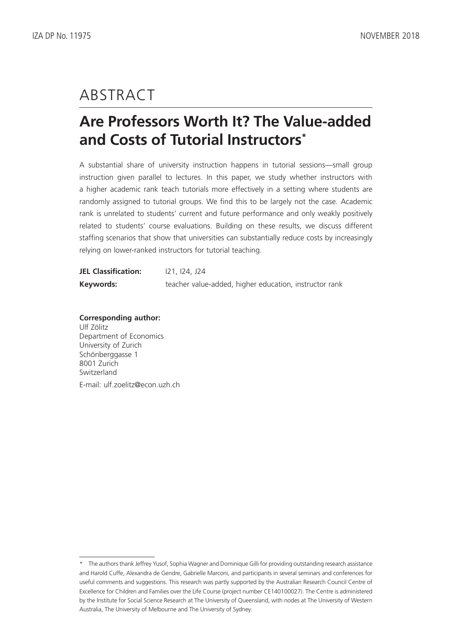# ABSTRACT

# **Are Professors Worth It? The Value-added and Costs of Tutorial Instructors\***

A substantial share of university instruction happens in tutorial sessions—small group instruction given parallel to lectures. In this paper, we study whether instructors with a higher academic rank teach tutorials more effectively in a setting where students are randomly assigned to tutorial groups. We find this to be largely not the case. Academic rank is unrelated to students' current and future performance and only weakly positively related to students' course evaluations. Building on these results, we discuss different staffing scenarios that show that universities can substantially reduce costs by increasingly relying on lower-ranked instructors for tutorial teaching.

| <b>JEL Classification:</b> | 121, 124, J24                                          |
|----------------------------|--------------------------------------------------------|
| Keywords:                  | teacher value-added, higher education, instructor rank |

**Corresponding author:** Ulf Zölitz Department of Economics University of Zurich Schönberggasse 1 8001 Zurich Switzerland E-mail: ulf.zoelitz@econ.uzh.ch

<sup>\*</sup> The authors thank Jeffrey Yusof, Sophia Wagner and Dominique Gilli for providing outstanding research assistance and Harold Cuffe, Alexandra de Gendre, Gabrielle Marconi, and participants in several seminars and conferences for useful comments and suggestions. This research was partly supported by the Australian Research Council Centre of Excellence for Children and Families over the Life Course (project number CE140100027). The Centre is administered by the Institute for Social Science Research at The University of Queensland, with nodes at The University of Western Australia, The University of Melbourne and The University of Sydney.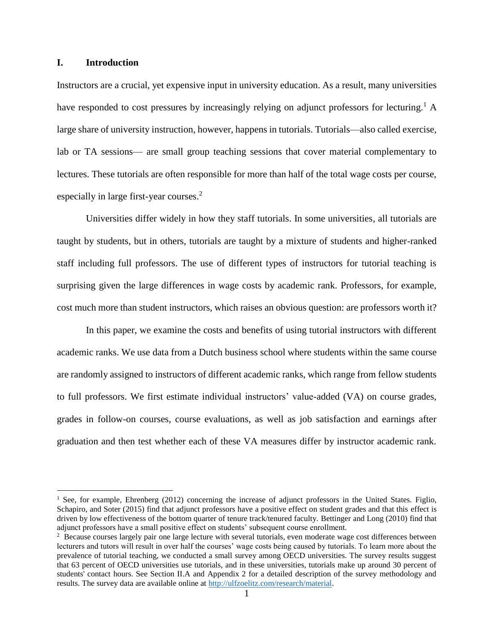## **I. Introduction**

 $\overline{a}$ 

Instructors are a crucial, yet expensive input in university education. As a result, many universities have responded to cost pressures by increasingly relying on adjunct professors for lecturing.<sup>1</sup> A large share of university instruction, however, happens in tutorials. Tutorials—also called exercise, lab or TA sessions— are small group teaching sessions that cover material complementary to lectures. These tutorials are often responsible for more than half of the total wage costs per course, especially in large first-year courses.<sup>2</sup>

Universities differ widely in how they staff tutorials. In some universities, all tutorials are taught by students, but in others, tutorials are taught by a mixture of students and higher-ranked staff including full professors. The use of different types of instructors for tutorial teaching is surprising given the large differences in wage costs by academic rank. Professors, for example, cost much more than student instructors, which raises an obvious question: are professors worth it?

In this paper, we examine the costs and benefits of using tutorial instructors with different academic ranks. We use data from a Dutch business school where students within the same course are randomly assigned to instructors of different academic ranks, which range from fellow students to full professors. We first estimate individual instructors' value-added (VA) on course grades, grades in follow-on courses, course evaluations, as well as job satisfaction and earnings after graduation and then test whether each of these VA measures differ by instructor academic rank.

<sup>&</sup>lt;sup>1</sup> See, for example, Ehrenberg (2012) concerning the increase of adjunct professors in the United States. Figlio, Schapiro, and Soter (2015) find that adjunct professors have a positive effect on student grades and that this effect is driven by low effectiveness of the bottom quarter of tenure track/tenured faculty. Bettinger and Long (2010) find that adjunct professors have a small positive effect on students' subsequent course enrollment.

<sup>&</sup>lt;sup>2</sup> Because courses largely pair one large lecture with several tutorials, even moderate wage cost differences between lecturers and tutors will result in over half the courses' wage costs being caused by tutorials. To learn more about the prevalence of tutorial teaching, we conducted a small survey among OECD universities. The survey results suggest that 63 percent of OECD universities use tutorials, and in these universities, tutorials make up around 30 percent of students' contact hours. See Section II.A and Appendix 2 for a detailed description of the survey methodology and results. The survey data are available online at [http://ulfzoelitz.com/research/material.](http://ulfzoelitz.com/research/material)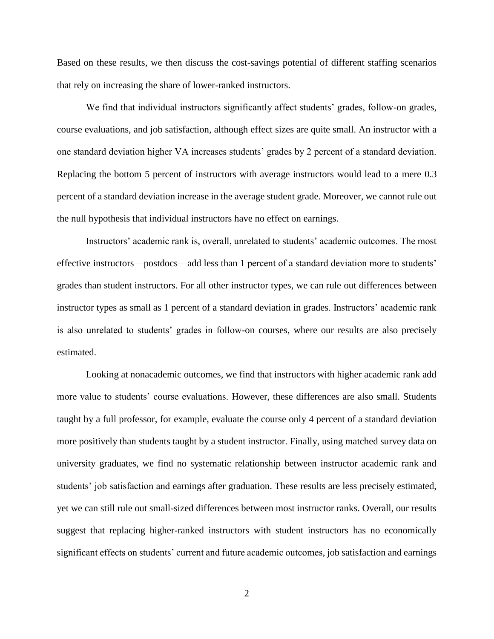Based on these results, we then discuss the cost-savings potential of different staffing scenarios that rely on increasing the share of lower-ranked instructors.

We find that individual instructors significantly affect students' grades, follow-on grades, course evaluations, and job satisfaction, although effect sizes are quite small. An instructor with a one standard deviation higher VA increases students' grades by 2 percent of a standard deviation. Replacing the bottom 5 percent of instructors with average instructors would lead to a mere 0.3 percent of a standard deviation increase in the average student grade. Moreover, we cannot rule out the null hypothesis that individual instructors have no effect on earnings.

Instructors' academic rank is, overall, unrelated to students' academic outcomes. The most effective instructors—postdocs—add less than 1 percent of a standard deviation more to students' grades than student instructors. For all other instructor types, we can rule out differences between instructor types as small as 1 percent of a standard deviation in grades. Instructors' academic rank is also unrelated to students' grades in follow-on courses, where our results are also precisely estimated.

Looking at nonacademic outcomes, we find that instructors with higher academic rank add more value to students' course evaluations. However, these differences are also small. Students taught by a full professor, for example, evaluate the course only 4 percent of a standard deviation more positively than students taught by a student instructor. Finally, using matched survey data on university graduates, we find no systematic relationship between instructor academic rank and students' job satisfaction and earnings after graduation. These results are less precisely estimated, yet we can still rule out small-sized differences between most instructor ranks. Overall, our results suggest that replacing higher-ranked instructors with student instructors has no economically significant effects on students' current and future academic outcomes, job satisfaction and earnings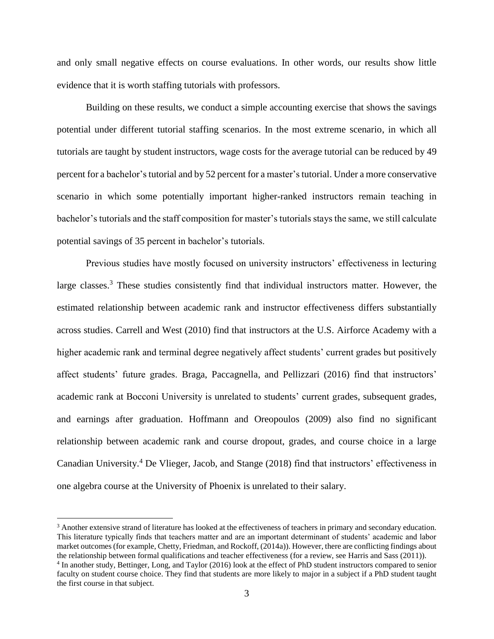and only small negative effects on course evaluations. In other words, our results show little evidence that it is worth staffing tutorials with professors.

Building on these results, we conduct a simple accounting exercise that shows the savings potential under different tutorial staffing scenarios. In the most extreme scenario, in which all tutorials are taught by student instructors, wage costs for the average tutorial can be reduced by 49 percent for a bachelor's tutorial and by 52 percent for a master's tutorial. Under a more conservative scenario in which some potentially important higher-ranked instructors remain teaching in bachelor's tutorials and the staff composition for master's tutorials stays the same, we still calculate potential savings of 35 percent in bachelor's tutorials.

Previous studies have mostly focused on university instructors' effectiveness in lecturing large classes.<sup>3</sup> These studies consistently find that individual instructors matter. However, the estimated relationship between academic rank and instructor effectiveness differs substantially across studies. Carrell and West (2010) find that instructors at the U.S. Airforce Academy with a higher academic rank and terminal degree negatively affect students' current grades but positively affect students' future grades. Braga, Paccagnella, and Pellizzari (2016) find that instructors' academic rank at Bocconi University is unrelated to students' current grades, subsequent grades, and earnings after graduation. Hoffmann and Oreopoulos (2009) also find no significant relationship between academic rank and course dropout, grades, and course choice in a large Canadian University.<sup>4</sup> De Vlieger, Jacob, and Stange (2018) find that instructors' effectiveness in one algebra course at the University of Phoenix is unrelated to their salary.

 $\overline{a}$ 

<sup>&</sup>lt;sup>3</sup> Another extensive strand of literature has looked at the effectiveness of teachers in primary and secondary education. This literature typically finds that teachers matter and are an important determinant of students' academic and labor market outcomes (for example, Chetty, Friedman, and Rockoff, (2014a)). However, there are conflicting findings about the relationship between formal qualifications and teacher effectiveness (for a review, see Harris and Sass (2011)).

<sup>4</sup> In another study, Bettinger, Long, and Taylor (2016) look at the effect of PhD student instructors compared to senior faculty on student course choice. They find that students are more likely to major in a subject if a PhD student taught the first course in that subject.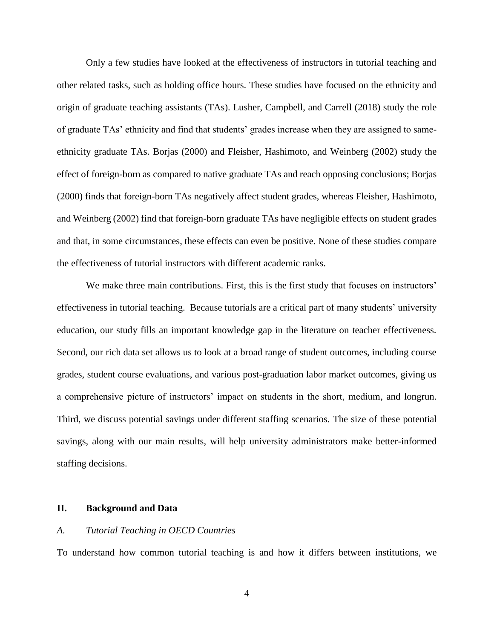Only a few studies have looked at the effectiveness of instructors in tutorial teaching and other related tasks, such as holding office hours. These studies have focused on the ethnicity and origin of graduate teaching assistants (TAs). Lusher, Campbell, and Carrell (2018) study the role of graduate TAs' ethnicity and find that students' grades increase when they are assigned to sameethnicity graduate TAs. Borjas (2000) and Fleisher, Hashimoto, and Weinberg (2002) study the effect of foreign-born as compared to native graduate TAs and reach opposing conclusions; Borjas (2000) finds that foreign-born TAs negatively affect student grades, whereas Fleisher, Hashimoto, and Weinberg (2002) find that foreign-born graduate TAs have negligible effects on student grades and that, in some circumstances, these effects can even be positive. None of these studies compare the effectiveness of tutorial instructors with different academic ranks.

We make three main contributions. First, this is the first study that focuses on instructors' effectiveness in tutorial teaching. Because tutorials are a critical part of many students' university education, our study fills an important knowledge gap in the literature on teacher effectiveness. Second, our rich data set allows us to look at a broad range of student outcomes, including course grades, student course evaluations, and various post-graduation labor market outcomes, giving us a comprehensive picture of instructors' impact on students in the short, medium, and longrun. Third, we discuss potential savings under different staffing scenarios. The size of these potential savings, along with our main results, will help university administrators make better-informed staffing decisions.

## **II. Background and Data**

## *A. Tutorial Teaching in OECD Countries*

To understand how common tutorial teaching is and how it differs between institutions, we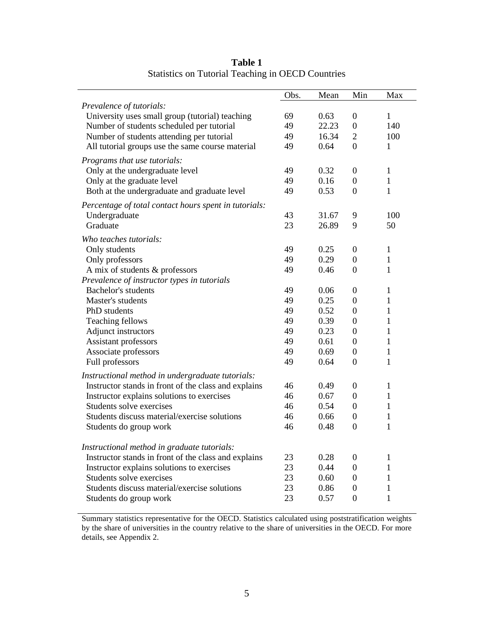|                                                       | Obs. | Mean  | Min                                | Max                          |
|-------------------------------------------------------|------|-------|------------------------------------|------------------------------|
| Prevalence of tutorials:                              |      |       |                                    |                              |
| University uses small group (tutorial) teaching       | 69   | 0.63  | 0                                  | 1                            |
| Number of students scheduled per tutorial             | 49   | 22.23 | $\boldsymbol{0}$                   | 140                          |
| Number of students attending per tutorial             | 49   | 16.34 | $\overline{2}$                     | 100                          |
| All tutorial groups use the same course material      | 49   | 0.64  | $\overline{0}$                     | 1                            |
| Programs that use tutorials:                          |      |       |                                    |                              |
| Only at the undergraduate level                       | 49   | 0.32  | 0                                  | $\mathbf{1}$                 |
| Only at the graduate level                            | 49   | 0.16  | $\boldsymbol{0}$                   | $\mathbf{1}$                 |
| Both at the undergraduate and graduate level          | 49   | 0.53  | $\overline{0}$                     | $\mathbf{1}$                 |
| Percentage of total contact hours spent in tutorials: |      |       |                                    |                              |
| Undergraduate                                         | 43   | 31.67 | 9                                  | 100                          |
| Graduate                                              | 23   | 26.89 | 9                                  | 50                           |
|                                                       |      |       |                                    |                              |
| Who teaches tutorials:                                |      |       |                                    |                              |
| Only students                                         | 49   | 0.25  | $\boldsymbol{0}$                   | $\mathbf{1}$                 |
| Only professors                                       | 49   | 0.29  | $\overline{0}$                     | 1                            |
| A mix of students & professors                        | 49   | 0.46  | $\overline{0}$                     | $\mathbf{1}$                 |
| Prevalence of instructor types in tutorials           |      |       |                                    |                              |
| Bachelor's students                                   | 49   | 0.06  | $\boldsymbol{0}$                   | 1                            |
| Master's students                                     | 49   | 0.25  | $\boldsymbol{0}$                   | $\mathbf{1}$                 |
| PhD students                                          | 49   | 0.52  | $\boldsymbol{0}$                   | 1                            |
| Teaching fellows                                      | 49   | 0.39  | $\boldsymbol{0}$                   | 1                            |
| Adjunct instructors                                   | 49   | 0.23  | $\boldsymbol{0}$<br>$\overline{0}$ | $\mathbf{1}$<br>$\mathbf{1}$ |
| Assistant professors                                  | 49   | 0.61  |                                    |                              |
| Associate professors                                  | 49   | 0.69  | $\boldsymbol{0}$                   | $\mathbf{1}$                 |
| Full professors                                       | 49   | 0.64  | $\boldsymbol{0}$                   | 1                            |
| Instructional method in undergraduate tutorials:      |      |       |                                    |                              |
| Instructor stands in front of the class and explains  | 46   | 0.49  | $\boldsymbol{0}$                   | 1                            |
| Instructor explains solutions to exercises            | 46   | 0.67  | $\boldsymbol{0}$                   | 1                            |
| Students solve exercises                              | 46   | 0.54  | $\boldsymbol{0}$                   | 1                            |
| Students discuss material/exercise solutions          | 46   | 0.66  | $\boldsymbol{0}$                   | 1                            |
| Students do group work                                | 46   | 0.48  | $\overline{0}$                     | 1                            |
| Instructional method in graduate tutorials:           |      |       |                                    |                              |
| Instructor stands in front of the class and explains  | 23   | 0.28  | $\boldsymbol{0}$                   | $\mathbf{1}$                 |
| Instructor explains solutions to exercises            | 23   | 0.44  | $\boldsymbol{0}$                   | 1                            |
| Students solve exercises                              | 23   | 0.60  | 0                                  | 1                            |
| Students discuss material/exercise solutions          | 23   | 0.86  | $\boldsymbol{0}$                   | 1                            |
| Students do group work                                | 23   | 0.57  | $\boldsymbol{0}$                   | $\mathbf{1}$                 |

**Table 1** Statistics on Tutorial Teaching in OECD Countries

Summary statistics representative for the OECD. Statistics calculated using poststratification weights by the share of universities in the country relative to the share of universities in the OECD. For more details, see Appendix 2.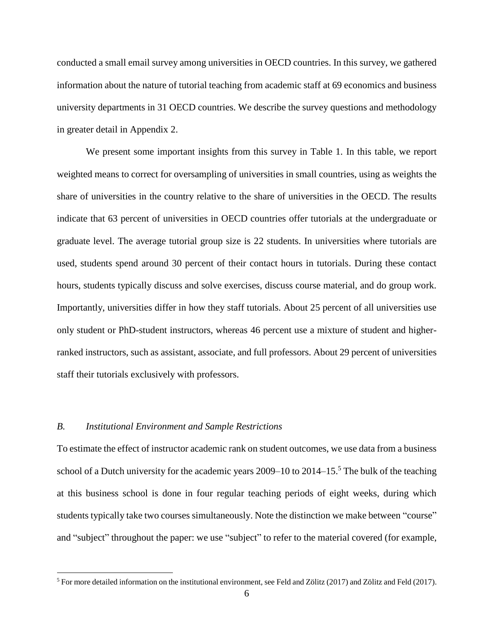conducted a small email survey among universities in OECD countries. In this survey, we gathered information about the nature of tutorial teaching from academic staff at 69 economics and business university departments in 31 OECD countries. We describe the survey questions and methodology in greater detail in Appendix 2.

We present some important insights from this survey in Table 1. In this table, we report weighted means to correct for oversampling of universities in small countries, using as weights the share of universities in the country relative to the share of universities in the OECD. The results indicate that 63 percent of universities in OECD countries offer tutorials at the undergraduate or graduate level. The average tutorial group size is 22 students. In universities where tutorials are used, students spend around 30 percent of their contact hours in tutorials. During these contact hours, students typically discuss and solve exercises, discuss course material, and do group work. Importantly, universities differ in how they staff tutorials. About 25 percent of all universities use only student or PhD-student instructors, whereas 46 percent use a mixture of student and higherranked instructors, such as assistant, associate, and full professors. About 29 percent of universities staff their tutorials exclusively with professors.

# *B. Institutional Environment and Sample Restrictions*

 $\overline{a}$ 

To estimate the effect of instructor academic rank on student outcomes, we use data from a business school of a Dutch university for the academic years  $2009-10$  to  $2014-15<sup>5</sup>$ . The bulk of the teaching at this business school is done in four regular teaching periods of eight weeks, during which students typically take two courses simultaneously. Note the distinction we make between "course" and "subject" throughout the paper: we use "subject" to refer to the material covered (for example,

<sup>&</sup>lt;sup>5</sup> For more detailed information on the institutional environment, see Feld and Zölitz (2017) and Zölitz and Feld (2017).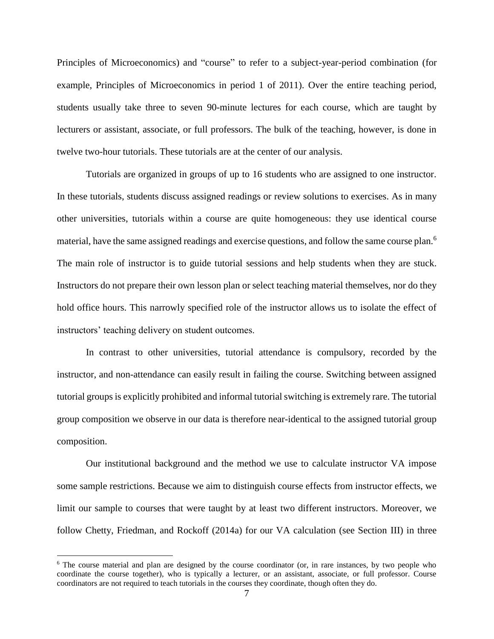Principles of Microeconomics) and "course" to refer to a subject-year-period combination (for example, Principles of Microeconomics in period 1 of 2011). Over the entire teaching period, students usually take three to seven 90-minute lectures for each course, which are taught by lecturers or assistant, associate, or full professors. The bulk of the teaching, however, is done in twelve two-hour tutorials. These tutorials are at the center of our analysis.

Tutorials are organized in groups of up to 16 students who are assigned to one instructor. In these tutorials, students discuss assigned readings or review solutions to exercises. As in many other universities, tutorials within a course are quite homogeneous: they use identical course material, have the same assigned readings and exercise questions, and follow the same course plan.<sup>6</sup> The main role of instructor is to guide tutorial sessions and help students when they are stuck. Instructors do not prepare their own lesson plan or select teaching material themselves, nor do they hold office hours. This narrowly specified role of the instructor allows us to isolate the effect of instructors' teaching delivery on student outcomes.

In contrast to other universities, tutorial attendance is compulsory, recorded by the instructor, and non-attendance can easily result in failing the course. Switching between assigned tutorial groups is explicitly prohibited and informal tutorial switching is extremely rare. The tutorial group composition we observe in our data is therefore near-identical to the assigned tutorial group composition.

Our institutional background and the method we use to calculate instructor VA impose some sample restrictions. Because we aim to distinguish course effects from instructor effects, we limit our sample to courses that were taught by at least two different instructors. Moreover, we follow Chetty, Friedman, and Rockoff (2014a) for our VA calculation (see Section III) in three

 $\overline{a}$ 

<sup>&</sup>lt;sup>6</sup> The course material and plan are designed by the course coordinator (or, in rare instances, by two people who coordinate the course together), who is typically a lecturer, or an assistant, associate, or full professor. Course coordinators are not required to teach tutorials in the courses they coordinate, though often they do.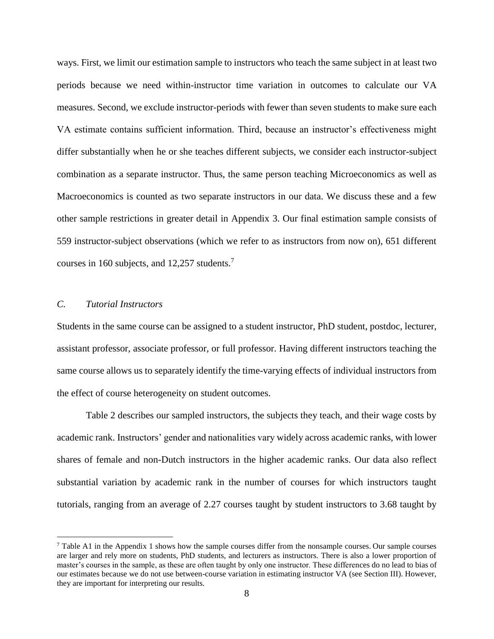ways. First, we limit our estimation sample to instructors who teach the same subject in at least two periods because we need within-instructor time variation in outcomes to calculate our VA measures. Second, we exclude instructor-periods with fewer than seven students to make sure each VA estimate contains sufficient information. Third, because an instructor's effectiveness might differ substantially when he or she teaches different subjects, we consider each instructor-subject combination as a separate instructor. Thus, the same person teaching Microeconomics as well as Macroeconomics is counted as two separate instructors in our data. We discuss these and a few other sample restrictions in greater detail in Appendix 3. Our final estimation sample consists of 559 instructor-subject observations (which we refer to as instructors from now on), 651 different courses in 160 subjects, and 12,257 students. 7

# *C. Tutorial Instructors*

 $\overline{a}$ 

Students in the same course can be assigned to a student instructor, PhD student, postdoc, lecturer, assistant professor, associate professor, or full professor. Having different instructors teaching the same course allows us to separately identify the time-varying effects of individual instructors from the effect of course heterogeneity on student outcomes.

Table 2 describes our sampled instructors, the subjects they teach, and their wage costs by academic rank. Instructors' gender and nationalities vary widely across academic ranks, with lower shares of female and non-Dutch instructors in the higher academic ranks. Our data also reflect substantial variation by academic rank in the number of courses for which instructors taught tutorials, ranging from an average of 2.27 courses taught by student instructors to 3.68 taught by

<sup>7</sup> Table A1 in the Appendix 1 shows how the sample courses differ from the nonsample courses. Our sample courses are larger and rely more on students, PhD students, and lecturers as instructors. There is also a lower proportion of master's courses in the sample, as these are often taught by only one instructor. These differences do no lead to bias of our estimates because we do not use between-course variation in estimating instructor VA (see Section III). However, they are important for interpreting our results.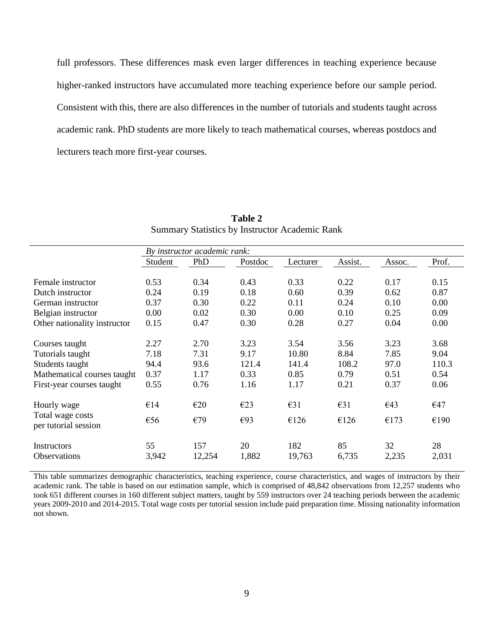full professors. These differences mask even larger differences in teaching experience because higher-ranked instructors have accumulated more teaching experience before our sample period. Consistent with this, there are also differences in the number of tutorials and students taught across academic rank. PhD students are more likely to teach mathematical courses, whereas postdocs and lecturers teach more first-year courses.

|                              |         | By instructor academic rank: |         |               |               |        |       |
|------------------------------|---------|------------------------------|---------|---------------|---------------|--------|-------|
|                              | Student | PhD                          | Postdoc | Lecturer      | Assist.       | Assoc. | Prof. |
|                              |         |                              |         |               |               |        |       |
| Female instructor            | 0.53    | 0.34                         | 0.43    | 0.33          | 0.22          | 0.17   | 0.15  |
| Dutch instructor             | 0.24    | 0.19                         | 0.18    | 0.60          | 0.39          | 0.62   | 0.87  |
| German instructor            | 0.37    | 0.30                         | 0.22    | 0.11          | 0.24          | 0.10   | 0.00  |
| Belgian instructor           | 0.00    | 0.02                         | 0.30    | 0.00          | 0.10          | 0.25   | 0.09  |
| Other nationality instructor | 0.15    | 0.47                         | 0.30    | 0.28          | 0.27          | 0.04   | 0.00  |
|                              |         |                              |         |               |               |        |       |
| Courses taught               | 2.27    | 2.70                         | 3.23    | 3.54          | 3.56          | 3.23   | 3.68  |
| Tutorials taught             | 7.18    | 7.31                         | 9.17    | 10.80         | 8.84          | 7.85   | 9.04  |
| Students taught              | 94.4    | 93.6                         | 121.4   | 141.4         | 108.2         | 97.0   | 110.3 |
| Mathematical courses taught  | 0.37    | 1.17                         | 0.33    | 0.85          | 0.79          | 0.51   | 0.54  |
| First-year courses taught    | 0.55    | 0.76                         | 1.16    | 1.17          | 0.21          | 0.37   | 0.06  |
| Hourly wage                  | €14     | E20                          | E23     | $\epsilon$ 31 | $\epsilon$ 31 | €43    | €47   |
| Total wage costs             | €56     | €79                          | E93     | €126          | €126          | €173   | €190  |
| per tutorial session         |         |                              |         |               |               |        |       |
| Instructors                  | 55      | 157                          | 20      | 182           | 85            | 32     | 28    |
| <b>Observations</b>          | 3,942   | 12,254                       | 1,882   | 19,763        | 6,735         | 2,235  | 2,031 |
|                              |         |                              |         |               |               |        |       |

**Table 2** Summary Statistics by Instructor Academic Rank

This table summarizes demographic characteristics, teaching experience, course characteristics, and wages of instructors by their academic rank. The table is based on our estimation sample, which is comprised of 48,842 observations from 12,257 students who took 651 different courses in 160 different subject matters, taught by 559 instructors over 24 teaching periods between the academic years 2009-2010 and 2014-2015. Total wage costs per tutorial session include paid preparation time. Missing nationality information not shown.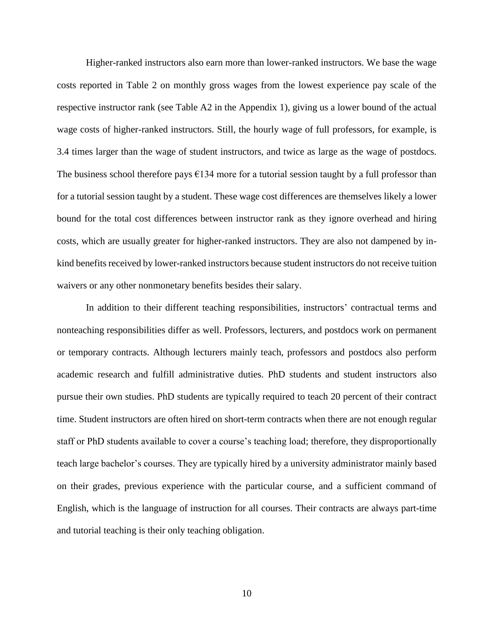Higher-ranked instructors also earn more than lower-ranked instructors. We base the wage costs reported in Table 2 on monthly gross wages from the lowest experience pay scale of the respective instructor rank (see Table A2 in the Appendix 1), giving us a lower bound of the actual wage costs of higher-ranked instructors. Still, the hourly wage of full professors, for example, is 3.4 times larger than the wage of student instructors, and twice as large as the wage of postdocs. The business school therefore pays  $E134$  more for a tutorial session taught by a full professor than for a tutorial session taught by a student. These wage cost differences are themselves likely a lower bound for the total cost differences between instructor rank as they ignore overhead and hiring costs, which are usually greater for higher-ranked instructors. They are also not dampened by inkind benefits received by lower-ranked instructors because student instructors do not receive tuition waivers or any other nonmonetary benefits besides their salary.

In addition to their different teaching responsibilities, instructors' contractual terms and nonteaching responsibilities differ as well. Professors, lecturers, and postdocs work on permanent or temporary contracts. Although lecturers mainly teach, professors and postdocs also perform academic research and fulfill administrative duties. PhD students and student instructors also pursue their own studies. PhD students are typically required to teach 20 percent of their contract time. Student instructors are often hired on short-term contracts when there are not enough regular staff or PhD students available to cover a course's teaching load; therefore, they disproportionally teach large bachelor's courses. They are typically hired by a university administrator mainly based on their grades, previous experience with the particular course, and a sufficient command of English, which is the language of instruction for all courses. Their contracts are always part-time and tutorial teaching is their only teaching obligation.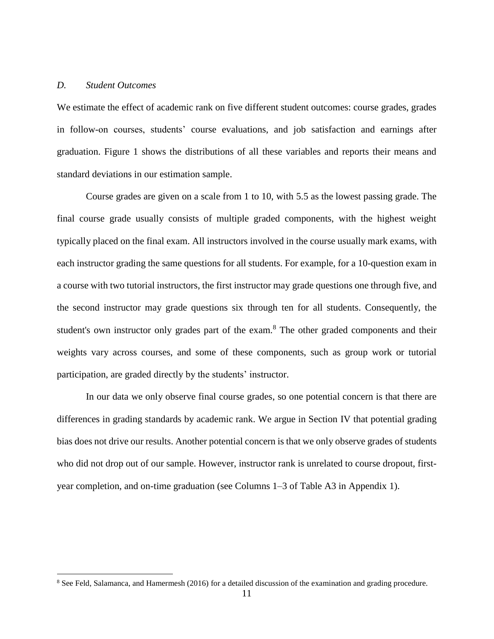### *D. Student Outcomes*

 $\overline{a}$ 

We estimate the effect of academic rank on five different student outcomes: course grades, grades in follow-on courses, students' course evaluations, and job satisfaction and earnings after graduation. Figure 1 shows the distributions of all these variables and reports their means and standard deviations in our estimation sample.

Course grades are given on a scale from 1 to 10, with 5.5 as the lowest passing grade. The final course grade usually consists of multiple graded components, with the highest weight typically placed on the final exam. All instructors involved in the course usually mark exams, with each instructor grading the same questions for all students. For example, for a 10-question exam in a course with two tutorial instructors, the first instructor may grade questions one through five, and the second instructor may grade questions six through ten for all students. Consequently, the student's own instructor only grades part of the exam.<sup>8</sup> The other graded components and their weights vary across courses, and some of these components, such as group work or tutorial participation, are graded directly by the students' instructor.

In our data we only observe final course grades, so one potential concern is that there are differences in grading standards by academic rank. We argue in Section IV that potential grading bias does not drive our results. Another potential concern is that we only observe grades of students who did not drop out of our sample. However, instructor rank is unrelated to course dropout, firstyear completion, and on-time graduation (see Columns 1–3 of Table A3 in Appendix 1).

<sup>8</sup> See Feld, Salamanca, and Hamermesh (2016) for a detailed discussion of the examination and grading procedure.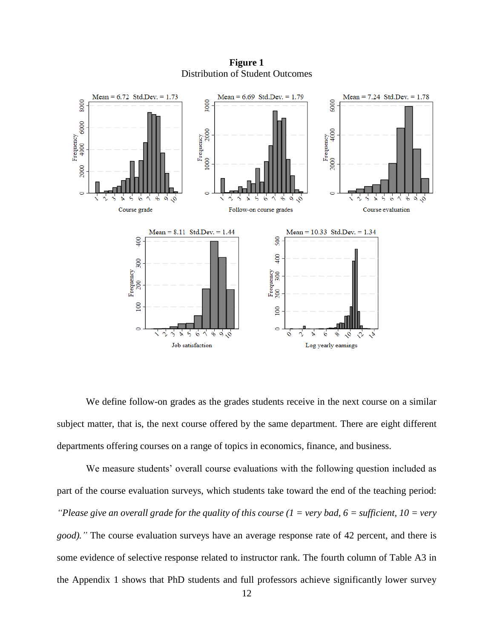

**Figure 1** Distribution of Student Outcomes

We define follow-on grades as the grades students receive in the next course on a similar subject matter, that is, the next course offered by the same department. There are eight different departments offering courses on a range of topics in economics, finance, and business.

We measure students' overall course evaluations with the following question included as part of the course evaluation surveys, which students take toward the end of the teaching period: *"Please give an overall grade for the quality of this course (1 = very bad, 6 = sufficient, 10 = very good)."* The course evaluation surveys have an average response rate of 42 percent, and there is some evidence of selective response related to instructor rank. The fourth column of Table A3 in the Appendix 1 shows that PhD students and full professors achieve significantly lower survey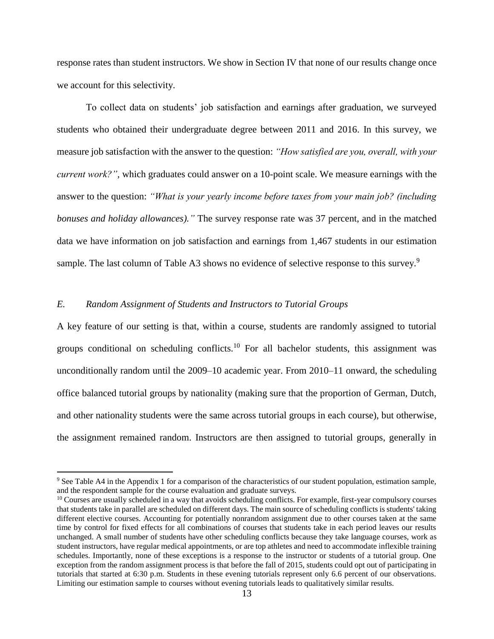response rates than student instructors. We show in Section IV that none of our results change once we account for this selectivity.

To collect data on students' job satisfaction and earnings after graduation, we surveyed students who obtained their undergraduate degree between 2011 and 2016. In this survey, we measure job satisfaction with the answer to the question: *"How satisfied are you, overall, with your current work?"*, which graduates could answer on a 10-point scale. We measure earnings with the answer to the question: *"What is your yearly income before taxes from your main job? (including bonuses and holiday allowances)."* The survey response rate was 37 percent, and in the matched data we have information on job satisfaction and earnings from 1,467 students in our estimation sample. The last column of Table A3 shows no evidence of selective response to this survey.<sup>9</sup>

## *E. Random Assignment of Students and Instructors to Tutorial Groups*

 $\overline{a}$ 

A key feature of our setting is that, within a course, students are randomly assigned to tutorial groups conditional on scheduling conflicts.<sup>10</sup> For all bachelor students, this assignment was unconditionally random until the 2009–10 academic year. From 2010–11 onward, the scheduling office balanced tutorial groups by nationality (making sure that the proportion of German, Dutch, and other nationality students were the same across tutorial groups in each course), but otherwise, the assignment remained random. Instructors are then assigned to tutorial groups, generally in

<sup>&</sup>lt;sup>9</sup> See Table A4 in the Appendix 1 for a comparison of the characteristics of our student population, estimation sample, and the respondent sample for the course evaluation and graduate surveys.

<sup>&</sup>lt;sup>10</sup> Courses are usually scheduled in a way that avoids scheduling conflicts. For example, first-year compulsory courses that students take in parallel are scheduled on different days. The main source of scheduling conflicts is students' taking different elective courses. Accounting for potentially nonrandom assignment due to other courses taken at the same time by control for fixed effects for all combinations of courses that students take in each period leaves our results unchanged. A small number of students have other scheduling conflicts because they take language courses, work as student instructors, have regular medical appointments, or are top athletes and need to accommodate inflexible training schedules. Importantly, none of these exceptions is a response to the instructor or students of a tutorial group. One exception from the random assignment process is that before the fall of 2015, students could opt out of participating in tutorials that started at 6:30 p.m. Students in these evening tutorials represent only 6.6 percent of our observations. Limiting our estimation sample to courses without evening tutorials leads to qualitatively similar results.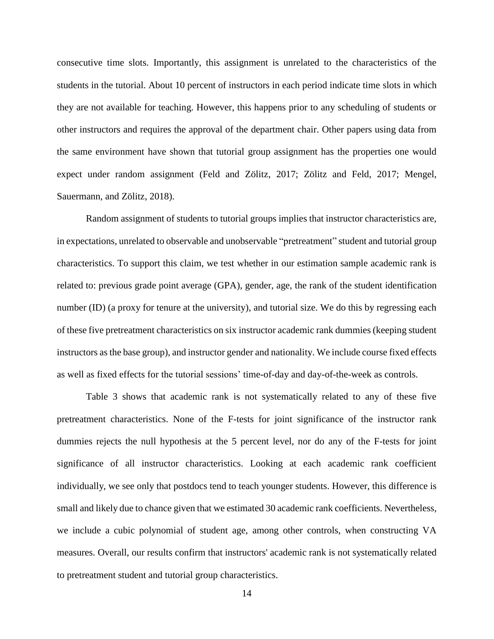consecutive time slots. Importantly, this assignment is unrelated to the characteristics of the students in the tutorial. About 10 percent of instructors in each period indicate time slots in which they are not available for teaching. However, this happens prior to any scheduling of students or other instructors and requires the approval of the department chair. Other papers using data from the same environment have shown that tutorial group assignment has the properties one would expect under random assignment (Feld and Zölitz, 2017; Zölitz and Feld, 2017; Mengel, Sauermann, and Zölitz, 2018).

Random assignment of students to tutorial groups implies that instructor characteristics are, in expectations, unrelated to observable and unobservable "pretreatment" student and tutorial group characteristics. To support this claim, we test whether in our estimation sample academic rank is related to: previous grade point average (GPA), gender, age, the rank of the student identification number (ID) (a proxy for tenure at the university), and tutorial size. We do this by regressing each of these five pretreatment characteristics on six instructor academic rank dummies (keeping student instructors as the base group), and instructor gender and nationality. We include course fixed effects as well as fixed effects for the tutorial sessions' time-of-day and day-of-the-week as controls.

Table 3 shows that academic rank is not systematically related to any of these five pretreatment characteristics. None of the F-tests for joint significance of the instructor rank dummies rejects the null hypothesis at the 5 percent level, nor do any of the F-tests for joint significance of all instructor characteristics. Looking at each academic rank coefficient individually, we see only that postdocs tend to teach younger students. However, this difference is small and likely due to chance given that we estimated 30 academic rank coefficients. Nevertheless, we include a cubic polynomial of student age, among other controls, when constructing VA measures. Overall, our results confirm that instructors' academic rank is not systematically related to pretreatment student and tutorial group characteristics.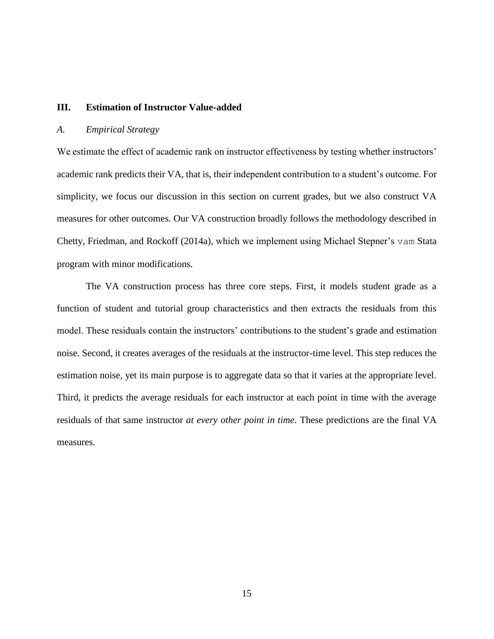## **III. Estimation of Instructor Value-added**

#### *A. Empirical Strategy*

We estimate the effect of academic rank on instructor effectiveness by testing whether instructors' academic rank predicts their VA, that is, their independent contribution to a student's outcome. For simplicity, we focus our discussion in this section on current grades, but we also construct VA measures for other outcomes. Our VA construction broadly follows the methodology described in Chetty, Friedman, and Rockoff (2014a), which we implement using Michael Stepner's vam Stata program with minor modifications.

The VA construction process has three core steps. First, it models student grade as a function of student and tutorial group characteristics and then extracts the residuals from this model. These residuals contain the instructors' contributions to the student's grade and estimation noise. Second, it creates averages of the residuals at the instructor-time level. This step reduces the estimation noise, yet its main purpose is to aggregate data so that it varies at the appropriate level. Third, it predicts the average residuals for each instructor at each point in time with the average residuals of that same instructor *at every other point in time*. These predictions are the final VA measures.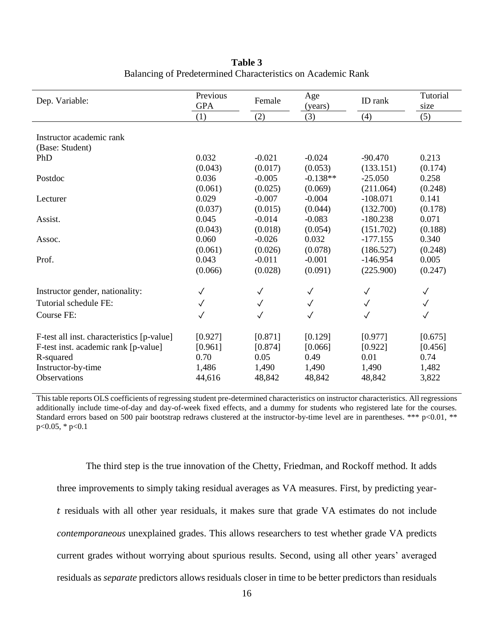| Dep. Variable:                             | Previous<br><b>GPA</b> | Female       | Age<br>(years) | ID rank      | Tutorial<br>size |
|--------------------------------------------|------------------------|--------------|----------------|--------------|------------------|
|                                            | (1)                    | (2)          | (3)            | (4)          | (5)              |
| Instructor academic rank                   |                        |              |                |              |                  |
| (Base: Student)                            |                        |              |                |              |                  |
| PhD                                        | 0.032                  | $-0.021$     | $-0.024$       | $-90.470$    | 0.213            |
|                                            | (0.043)                | (0.017)      | (0.053)        | (133.151)    | (0.174)          |
| Postdoc                                    | 0.036                  | $-0.005$     | $-0.138**$     | $-25.050$    | 0.258            |
|                                            | (0.061)                | (0.025)      | (0.069)        | (211.064)    | (0.248)          |
| Lecturer                                   | 0.029                  | $-0.007$     | $-0.004$       | $-108.071$   | 0.141            |
|                                            | (0.037)                | (0.015)      | (0.044)        | (132.700)    | (0.178)          |
| Assist.                                    | 0.045                  | $-0.014$     | $-0.083$       | $-180.238$   | 0.071            |
|                                            | (0.043)                | (0.018)      | (0.054)        | (151.702)    | (0.188)          |
| Assoc.                                     | 0.060                  | $-0.026$     | 0.032          | $-177.155$   | 0.340            |
|                                            | (0.061)                | (0.026)      | (0.078)        | (186.527)    | (0.248)          |
| Prof.                                      | 0.043                  | $-0.011$     | $-0.001$       | $-146.954$   | 0.005            |
|                                            | (0.066)                | (0.028)      | (0.091)        | (225.900)    | (0.247)          |
| Instructor gender, nationality:            | $\checkmark$           | $\checkmark$ | $\checkmark$   | $\checkmark$ | $\checkmark$     |
| Tutorial schedule FE:                      | $\checkmark$           | $\checkmark$ | $\checkmark$   | $\checkmark$ | $\checkmark$     |
| Course FE:                                 | $\checkmark$           | $\checkmark$ | $\checkmark$   | ✓            | $\checkmark$     |
| F-test all inst. characteristics [p-value] | [0.927]                | [0.871]      | [0.129]        | [0.977]      | [0.675]          |
| F-test inst. academic rank [p-value]       | [0.961]                | [0.874]      | [0.066]        | [0.922]      | [0.456]          |
| R-squared                                  | 0.70                   | 0.05         | 0.49           | 0.01         | 0.74             |
| Instructor-by-time                         | 1,486                  | 1,490        | 1,490          | 1,490        | 1,482            |
| Observations                               | 44,616                 | 48,842       | 48,842         | 48,842       | 3,822            |

**Table 3** Balancing of Predetermined Characteristics on Academic Rank

This table reports OLS coefficients of regressing student pre-determined characteristics on instructor characteristics. All regressions additionally include time-of-day and day-of-week fixed effects, and a dummy for students who registered late for the courses. Standard errors based on 500 pair bootstrap redraws clustered at the instructor-by-time level are in parentheses. \*\*\* p<0.01, \*\* p<0.05, \* p<0.1

The third step is the true innovation of the Chetty, Friedman, and Rockoff method. It adds three improvements to simply taking residual averages as VA measures. First, by predicting year residuals with all other year residuals, it makes sure that grade VA estimates do not include *contemporaneous* unexplained grades. This allows researchers to test whether grade VA predicts current grades without worrying about spurious results. Second, using all other years' averaged residuals as *separate* predictors allows residuals closer in time to be better predictors than residuals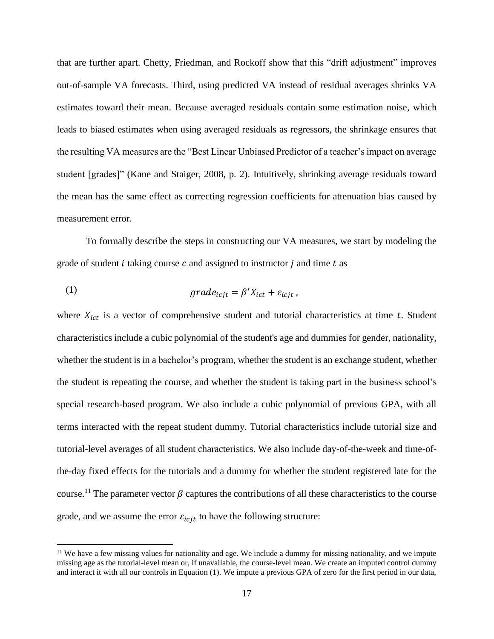that are further apart. Chetty, Friedman, and Rockoff show that this "drift adjustment" improves out-of-sample VA forecasts. Third, using predicted VA instead of residual averages shrinks VA estimates toward their mean. Because averaged residuals contain some estimation noise, which leads to biased estimates when using averaged residuals as regressors, the shrinkage ensures that the resulting VA measures are the "Best Linear Unbiased Predictor of a teacher's impact on average student [grades]" (Kane and Staiger, 2008, p. 2). Intuitively, shrinking average residuals toward the mean has the same effect as correcting regression coefficients for attenuation bias caused by measurement error.

To formally describe the steps in constructing our VA measures, we start by modeling the grade of student  $i$  taking course  $c$  and assigned to instructor  $j$  and time  $t$  as

(1) 
$$
grade_{icjt} = \beta' X_{ict} + \varepsilon_{icjt},
$$

 $\overline{a}$ 

where  $X_{ict}$  is a vector of comprehensive student and tutorial characteristics at time t. Student characteristics include a cubic polynomial of the student's age and dummies for gender, nationality, whether the student is in a bachelor's program, whether the student is an exchange student, whether the student is repeating the course, and whether the student is taking part in the business school's special research-based program. We also include a cubic polynomial of previous GPA, with all terms interacted with the repeat student dummy. Tutorial characteristics include tutorial size and tutorial-level averages of all student characteristics. We also include day-of-the-week and time-ofthe-day fixed effects for the tutorials and a dummy for whether the student registered late for the course.<sup>11</sup> The parameter vector  $\beta$  captures the contributions of all these characteristics to the course grade, and we assume the error  $\varepsilon_{\text{icjt}}$  to have the following structure:

 $11$  We have a few missing values for nationality and age. We include a dummy for missing nationality, and we impute missing age as the tutorial-level mean or, if unavailable, the course-level mean. We create an imputed control dummy and interact it with all our controls in Equation (1). We impute a previous GPA of zero for the first period in our data,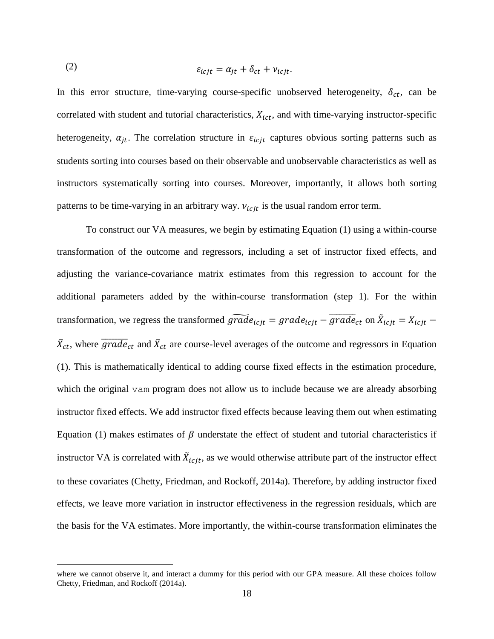(2) 
$$
\varepsilon_{icjt} = \alpha_{jt} + \delta_{ct} + \nu_{icjt}.
$$

In this error structure, time-varying course-specific unobserved heterogeneity,  $\delta_{ct}$ , can be correlated with student and tutorial characteristics,  $X_{ict}$ , and with time-varying instructor-specific heterogeneity,  $\alpha_{jt}$ . The correlation structure in  $\varepsilon_{icjt}$  captures obvious sorting patterns such as students sorting into courses based on their observable and unobservable characteristics as well as instructors systematically sorting into courses. Moreover, importantly, it allows both sorting patterns to be time-varying in an arbitrary way.  $v_{i\text{cjt}}$  is the usual random error term.

To construct our VA measures, we begin by estimating Equation (1) using a within-course transformation of the outcome and regressors, including a set of instructor fixed effects, and adjusting the variance-covariance matrix estimates from this regression to account for the additional parameters added by the within-course transformation (step 1). For the within transformation, we regress the transformed  $\widetilde{grade}_{icjt} = grade_{icjt} - \overline{grade}_{ct}$  on  $\widetilde{X}_{icjt} = X_{icjt} - \overline{X}_{icjt}$  $\bar{X}_{ct}$ , where  $\overline{grade}_{ct}$  and  $\bar{X}_{ct}$  are course-level averages of the outcome and regressors in Equation (1). This is mathematically identical to adding course fixed effects in the estimation procedure, which the original vam program does not allow us to include because we are already absorbing instructor fixed effects. We add instructor fixed effects because leaving them out when estimating Equation (1) makes estimates of  $\beta$  understate the effect of student and tutorial characteristics if instructor VA is correlated with  $\tilde{X}_{icjt}$ , as we would otherwise attribute part of the instructor effect to these covariates (Chetty, Friedman, and Rockoff, 2014a). Therefore, by adding instructor fixed effects, we leave more variation in instructor effectiveness in the regression residuals, which are the basis for the VA estimates. More importantly, the within-course transformation eliminates the

 $\overline{a}$ 

where we cannot observe it, and interact a dummy for this period with our GPA measure. All these choices follow Chetty, Friedman, and Rockoff (2014a).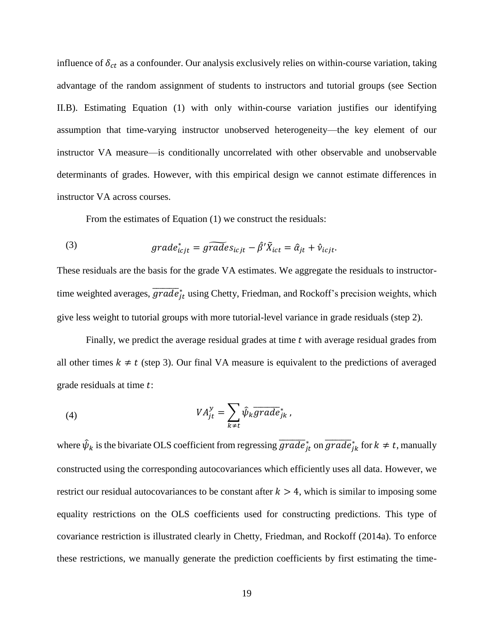influence of  $\delta_{ct}$  as a confounder. Our analysis exclusively relies on within-course variation, taking advantage of the random assignment of students to instructors and tutorial groups (see Section II.B). Estimating Equation (1) with only within-course variation justifies our identifying assumption that time-varying instructor unobserved heterogeneity—the key element of our instructor VA measure—is conditionally uncorrelated with other observable and unobservable determinants of grades. However, with this empirical design we cannot estimate differences in instructor VA across courses.

From the estimates of Equation (1) we construct the residuals:

(3) 
$$
grade_{icjt}^* = \widetilde{grade}_{icjt} - \widehat{\beta}' \widetilde{X}_{ict} = \widehat{\alpha}_{jt} + \widehat{v}_{icjt}.
$$

These residuals are the basis for the grade VA estimates. We aggregate the residuals to instructortime weighted averages,  $\overline{grade}^*_{jt}$  using Chetty, Friedman, and Rockoff's precision weights, which give less weight to tutorial groups with more tutorial-level variance in grade residuals (step 2).

Finally, we predict the average residual grades at time  $t$  with average residual grades from all other times  $k \neq t$  (step 3). Our final VA measure is equivalent to the predictions of averaged grade residuals at time t:

(4) 
$$
VA_{jt}^{y} = \sum_{k \neq t} \hat{\psi}_{k} \overline{grade}_{jk}^{*},
$$

where  $\hat{\psi}_k$  is the bivariate OLS coefficient from regressing  $\overline{grade}^*_{jt}$  on  $\overline{grade}^*_{jk}$  for  $k \neq t$ , manually constructed using the corresponding autocovariances which efficiently uses all data. However, we restrict our residual autocovariances to be constant after  $k > 4$ , which is similar to imposing some equality restrictions on the OLS coefficients used for constructing predictions. This type of covariance restriction is illustrated clearly in Chetty, Friedman, and Rockoff (2014a). To enforce these restrictions, we manually generate the prediction coefficients by first estimating the time-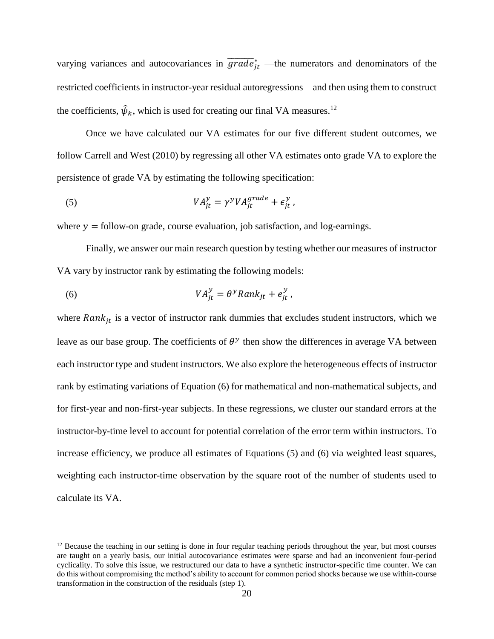varying variances and autocovariances in  $\overline{grade}^*_{jt}$  —the numerators and denominators of the restricted coefficients in instructor-year residual autoregressions—and then using them to construct the coefficients,  $\hat{\psi}_k$ , which is used for creating our final VA measures.<sup>12</sup>

Once we have calculated our VA estimates for our five different student outcomes, we follow Carrell and West (2010) by regressing all other VA estimates onto grade VA to explore the persistence of grade VA by estimating the following specification:

(5) 
$$
VA_{jt}^{y} = \gamma^{y} VA_{jt}^{grade} + \epsilon_{jt}^{y},
$$

where  $y =$  follow-on grade, course evaluation, job satisfaction, and log-earnings.

Finally, we answer our main research question by testing whether our measures of instructor VA vary by instructor rank by estimating the following models:

(6) 
$$
VA_{jt}^{y} = \theta^{y} Rank_{jt} + e_{jt}^{y},
$$

 $\overline{a}$ 

where  $Rank_{it}$  is a vector of instructor rank dummies that excludes student instructors, which we leave as our base group. The coefficients of  $\theta^y$  then show the differences in average VA between each instructor type and student instructors. We also explore the heterogeneous effects of instructor rank by estimating variations of Equation (6) for mathematical and non-mathematical subjects, and for first-year and non-first-year subjects. In these regressions, we cluster our standard errors at the instructor-by-time level to account for potential correlation of the error term within instructors. To increase efficiency, we produce all estimates of Equations (5) and (6) via weighted least squares, weighting each instructor-time observation by the square root of the number of students used to calculate its VA.

<sup>&</sup>lt;sup>12</sup> Because the teaching in our setting is done in four regular teaching periods throughout the year, but most courses are taught on a yearly basis, our initial autocovariance estimates were sparse and had an inconvenient four-period cyclicality. To solve this issue, we restructured our data to have a synthetic instructor-specific time counter. We can do this without compromising the method's ability to account for common period shocks because we use within-course transformation in the construction of the residuals (step 1).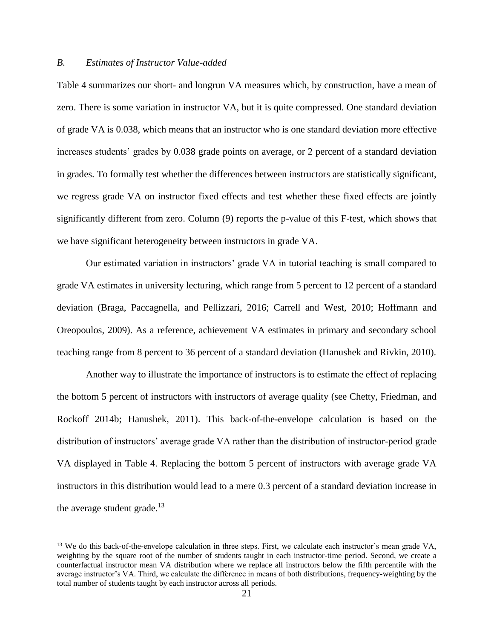#### *B. Estimates of Instructor Value-added*

 $\overline{a}$ 

Table 4 summarizes our short- and longrun VA measures which, by construction, have a mean of zero. There is some variation in instructor VA, but it is quite compressed. One standard deviation of grade VA is 0.038, which means that an instructor who is one standard deviation more effective increases students' grades by 0.038 grade points on average, or 2 percent of a standard deviation in grades. To formally test whether the differences between instructors are statistically significant, we regress grade VA on instructor fixed effects and test whether these fixed effects are jointly significantly different from zero. Column (9) reports the p-value of this F-test, which shows that we have significant heterogeneity between instructors in grade VA.

Our estimated variation in instructors' grade VA in tutorial teaching is small compared to grade VA estimates in university lecturing, which range from 5 percent to 12 percent of a standard deviation (Braga, Paccagnella, and Pellizzari, 2016; Carrell and West, 2010; Hoffmann and Oreopoulos, 2009). As a reference, achievement VA estimates in primary and secondary school teaching range from 8 percent to 36 percent of a standard deviation (Hanushek and Rivkin, 2010).

Another way to illustrate the importance of instructors is to estimate the effect of replacing the bottom 5 percent of instructors with instructors of average quality (see Chetty, Friedman, and Rockoff 2014b; Hanushek, 2011). This back-of-the-envelope calculation is based on the distribution of instructors' average grade VA rather than the distribution of instructor-period grade VA displayed in Table 4. Replacing the bottom 5 percent of instructors with average grade VA instructors in this distribution would lead to a mere 0.3 percent of a standard deviation increase in the average student grade.<sup>13</sup>

<sup>&</sup>lt;sup>13</sup> We do this back-of-the-envelope calculation in three steps. First, we calculate each instructor's mean grade VA, weighting by the square root of the number of students taught in each instructor-time period. Second, we create a counterfactual instructor mean VA distribution where we replace all instructors below the fifth percentile with the average instructor's VA. Third, we calculate the difference in means of both distributions, frequency-weighting by the total number of students taught by each instructor across all periods.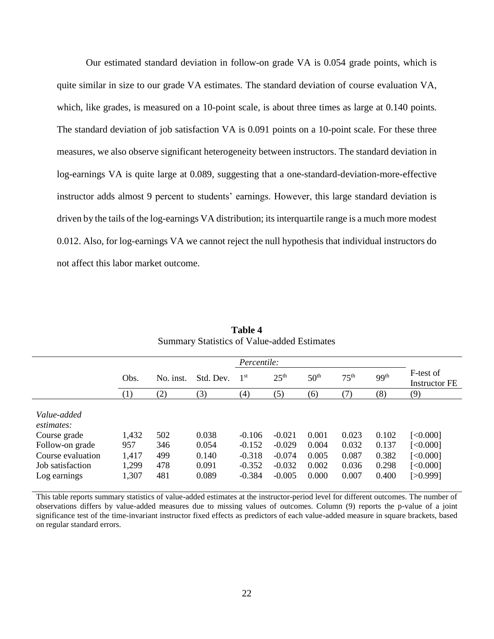Our estimated standard deviation in follow-on grade VA is 0.054 grade points, which is quite similar in size to our grade VA estimates. The standard deviation of course evaluation VA, which, like grades, is measured on a 10-point scale, is about three times as large at 0.140 points. The standard deviation of job satisfaction VA is 0.091 points on a 10-point scale. For these three measures, we also observe significant heterogeneity between instructors. The standard deviation in log-earnings VA is quite large at 0.089, suggesting that a one-standard-deviation-more-effective instructor adds almost 9 percent to students' earnings. However, this large standard deviation is driven by the tails of the log-earnings VA distribution; its interquartile range is a much more modest 0.012. Also, for log-earnings VA we cannot reject the null hypothesis that individual instructors do not affect this labor market outcome.

|                                                                                                                       |                                         |                                 |                                           | <i>Percentile:</i>                                       |                                                          |                                           |                                           |                                           |                                                          |
|-----------------------------------------------------------------------------------------------------------------------|-----------------------------------------|---------------------------------|-------------------------------------------|----------------------------------------------------------|----------------------------------------------------------|-------------------------------------------|-------------------------------------------|-------------------------------------------|----------------------------------------------------------|
|                                                                                                                       | Obs.                                    | No. inst.                       | Std. Dev.                                 | 1 <sup>st</sup>                                          | 25 <sup>th</sup>                                         | 50 <sup>th</sup>                          | 75 <sup>th</sup>                          | 99 <sup>th</sup>                          | F-test of<br>Instructor FE                               |
|                                                                                                                       | (1)                                     | (2)                             | (3)                                       | (4)                                                      | (5)                                                      | (6)                                       | (7)                                       | (8)                                       | (9)                                                      |
| Value-added<br>estimates:<br>Course grade<br>Follow-on grade<br>Course evaluation<br>Job satisfaction<br>Log earnings | 1,432<br>957<br>1,417<br>1,299<br>1,307 | 502<br>346<br>499<br>478<br>481 | 0.038<br>0.054<br>0.140<br>0.091<br>0.089 | $-0.106$<br>$-0.152$<br>$-0.318$<br>$-0.352$<br>$-0.384$ | $-0.021$<br>$-0.029$<br>$-0.074$<br>$-0.032$<br>$-0.005$ | 0.001<br>0.004<br>0.005<br>0.002<br>0.000 | 0.023<br>0.032<br>0.087<br>0.036<br>0.007 | 0.102<br>0.137<br>0.382<br>0.298<br>0.400 | [<0.000]<br>[<0.000]<br>[<0.000]<br>[<0.000]<br>[>0.999] |

**Table 4** Summary Statistics of Value-added Estimates

This table reports summary statistics of value-added estimates at the instructor-period level for different outcomes. The number of observations differs by value-added measures due to missing values of outcomes. Column (9) reports the p-value of a joint significance test of the time-invariant instructor fixed effects as predictors of each value-added measure in square brackets, based on regular standard errors.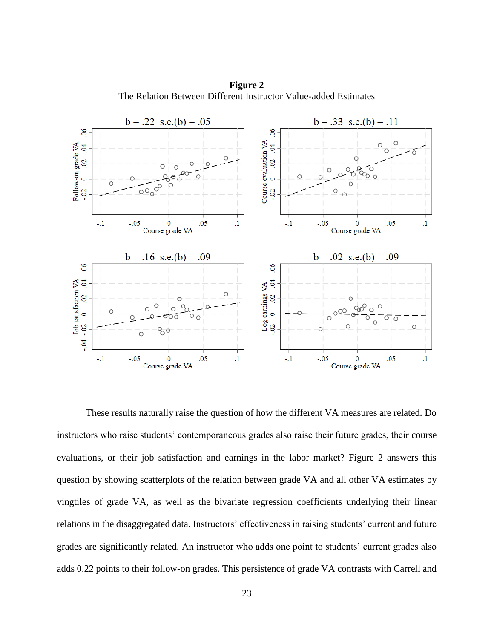**Figure 2** The Relation Between Different Instructor Value-added Estimates

![](_page_25_Figure_1.jpeg)

These results naturally raise the question of how the different VA measures are related. Do instructors who raise students' contemporaneous grades also raise their future grades, their course evaluations, or their job satisfaction and earnings in the labor market? Figure 2 answers this question by showing scatterplots of the relation between grade VA and all other VA estimates by vingtiles of grade VA, as well as the bivariate regression coefficients underlying their linear relations in the disaggregated data. Instructors' effectiveness in raising students' current and future grades are significantly related. An instructor who adds one point to students' current grades also adds 0.22 points to their follow-on grades. This persistence of grade VA contrasts with Carrell and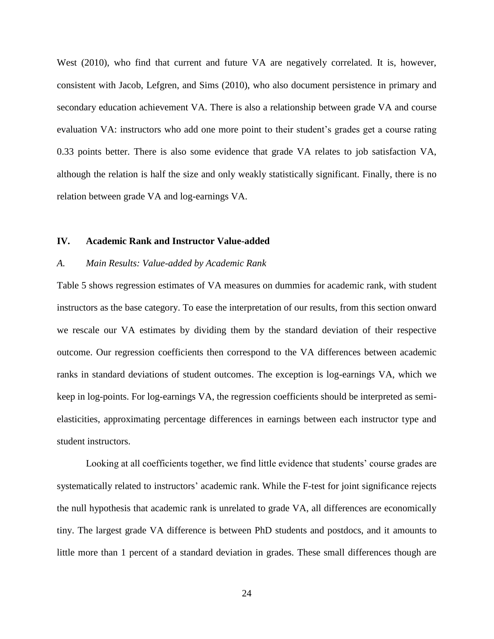West (2010), who find that current and future VA are negatively correlated. It is, however, consistent with Jacob, Lefgren, and Sims (2010), who also document persistence in primary and secondary education achievement VA. There is also a relationship between grade VA and course evaluation VA: instructors who add one more point to their student's grades get a course rating 0.33 points better. There is also some evidence that grade VA relates to job satisfaction VA, although the relation is half the size and only weakly statistically significant. Finally, there is no relation between grade VA and log-earnings VA.

# **IV. Academic Rank and Instructor Value-added**

#### *A. Main Results: Value-added by Academic Rank*

Table 5 shows regression estimates of VA measures on dummies for academic rank, with student instructors as the base category. To ease the interpretation of our results, from this section onward we rescale our VA estimates by dividing them by the standard deviation of their respective outcome. Our regression coefficients then correspond to the VA differences between academic ranks in standard deviations of student outcomes. The exception is log-earnings VA, which we keep in log-points. For log-earnings VA, the regression coefficients should be interpreted as semielasticities, approximating percentage differences in earnings between each instructor type and student instructors.

Looking at all coefficients together, we find little evidence that students' course grades are systematically related to instructors' academic rank. While the F-test for joint significance rejects the null hypothesis that academic rank is unrelated to grade VA, all differences are economically tiny. The largest grade VA difference is between PhD students and postdocs, and it amounts to little more than 1 percent of a standard deviation in grades. These small differences though are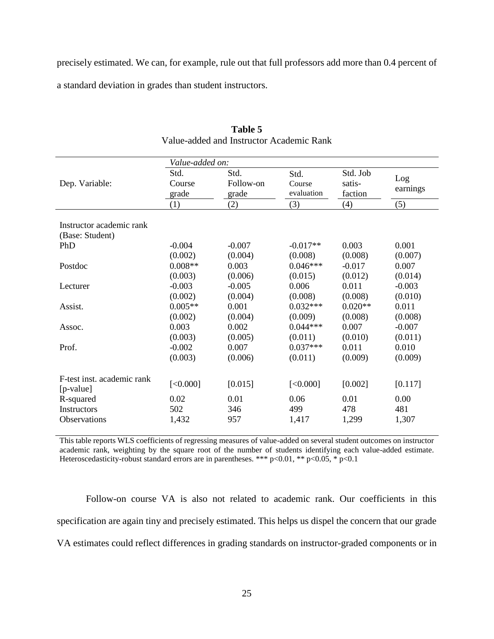precisely estimated. We can, for example, rule out that full professors add more than 0.4 percent of a standard deviation in grades than student instructors.

|                            | Value-added on: |           |            |           |          |
|----------------------------|-----------------|-----------|------------|-----------|----------|
|                            | Std.            | Std.      | Std.       | Std. Job  | Log      |
| Dep. Variable:             | Course          | Follow-on | Course     | satis-    |          |
|                            | grade           | grade     | evaluation | faction   | earnings |
|                            | (1)             | (2)       | (3)        | (4)       | (5)      |
|                            |                 |           |            |           |          |
| Instructor academic rank   |                 |           |            |           |          |
| (Base: Student)            |                 |           |            |           |          |
| PhD                        | $-0.004$        | $-0.007$  | $-0.017**$ | 0.003     | 0.001    |
|                            | (0.002)         | (0.004)   | (0.008)    | (0.008)   | (0.007)  |
| Postdoc                    | $0.008**$       | 0.003     | $0.046***$ | $-0.017$  | 0.007    |
|                            | (0.003)         | (0.006)   | (0.015)    | (0.012)   | (0.014)  |
| Lecturer                   | $-0.003$        | $-0.005$  | 0.006      | 0.011     | $-0.003$ |
|                            | (0.002)         | (0.004)   | (0.008)    | (0.008)   | (0.010)  |
| Assist.                    | $0.005**$       | 0.001     | $0.032***$ | $0.020**$ | 0.011    |
|                            | (0.002)         | (0.004)   | (0.009)    | (0.008)   | (0.008)  |
| Assoc.                     | 0.003           | 0.002     | $0.044***$ | 0.007     | $-0.007$ |
|                            | (0.003)         | (0.005)   | (0.011)    | (0.010)   | (0.011)  |
| Prof.                      | $-0.002$        | 0.007     | $0.037***$ | 0.011     | 0.010    |
|                            | (0.003)         | (0.006)   | (0.011)    | (0.009)   | (0.009)  |
| F-test inst. academic rank |                 |           |            |           |          |
| [p-value]                  | [<0.000]        | [0.015]   | [<0.000]   | [0.002]   | [0.117]  |
| R-squared                  | 0.02            | 0.01      | 0.06       | 0.01      | 0.00     |
| <b>Instructors</b>         | 502             | 346       | 499        | 478       | 481      |
| <b>Observations</b>        | 1,432           | 957       | 1,417      | 1,299     | 1,307    |
|                            |                 |           |            |           |          |

# **Table 5** Value-added and Instructor Academic Rank

This table reports WLS coefficients of regressing measures of value-added on several student outcomes on instructor academic rank, weighting by the square root of the number of students identifying each value-added estimate. Heteroscedasticity-robust standard errors are in parentheses. \*\*\* p<0.01, \*\* p<0.05, \* p<0.1

Follow-on course VA is also not related to academic rank. Our coefficients in this specification are again tiny and precisely estimated. This helps us dispel the concern that our grade VA estimates could reflect differences in grading standards on instructor-graded components or in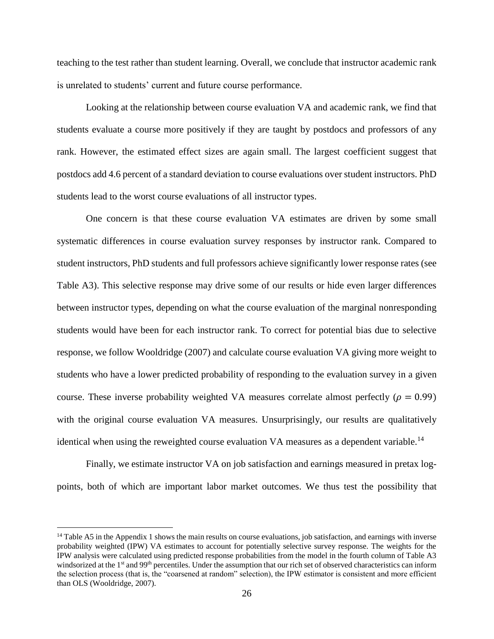teaching to the test rather than student learning. Overall, we conclude that instructor academic rank is unrelated to students' current and future course performance.

Looking at the relationship between course evaluation VA and academic rank, we find that students evaluate a course more positively if they are taught by postdocs and professors of any rank. However, the estimated effect sizes are again small. The largest coefficient suggest that postdocs add 4.6 percent of a standard deviation to course evaluations over student instructors. PhD students lead to the worst course evaluations of all instructor types.

One concern is that these course evaluation VA estimates are driven by some small systematic differences in course evaluation survey responses by instructor rank. Compared to student instructors, PhD students and full professors achieve significantly lower response rates (see Table A3). This selective response may drive some of our results or hide even larger differences between instructor types, depending on what the course evaluation of the marginal nonresponding students would have been for each instructor rank. To correct for potential bias due to selective response, we follow Wooldridge (2007) and calculate course evaluation VA giving more weight to students who have a lower predicted probability of responding to the evaluation survey in a given course. These inverse probability weighted VA measures correlate almost perfectly ( $\rho = 0.99$ ) with the original course evaluation VA measures. Unsurprisingly, our results are qualitatively identical when using the reweighted course evaluation VA measures as a dependent variable.<sup>14</sup>

Finally, we estimate instructor VA on job satisfaction and earnings measured in pretax logpoints, both of which are important labor market outcomes. We thus test the possibility that

 $\overline{a}$ 

 $<sup>14</sup>$  Table A5 in the Appendix 1 shows the main results on course evaluations, job satisfaction, and earnings with inverse</sup> probability weighted (IPW) VA estimates to account for potentially selective survey response. The weights for the IPW analysis were calculated using predicted response probabilities from the model in the fourth column of Table A3 windsorized at the 1<sup>st</sup> and 99<sup>th</sup> percentiles. Under the assumption that our rich set of observed characteristics can inform the selection process (that is, the "coarsened at random" selection), the IPW estimator is consistent and more efficient than OLS (Wooldridge, 2007).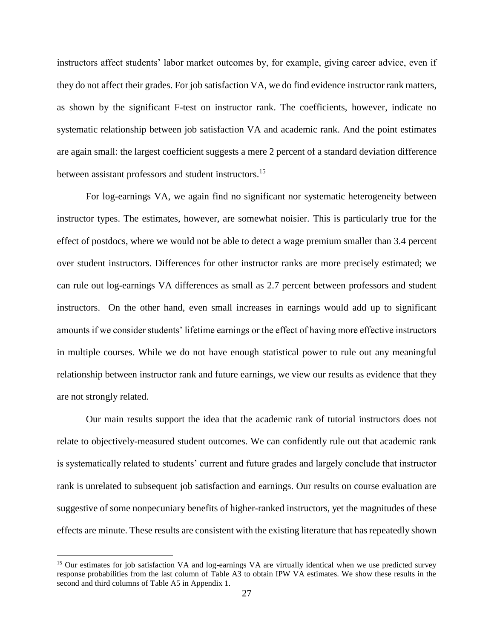instructors affect students' labor market outcomes by, for example, giving career advice, even if they do not affect their grades. For job satisfaction VA, we do find evidence instructor rank matters, as shown by the significant F-test on instructor rank. The coefficients, however, indicate no systematic relationship between job satisfaction VA and academic rank. And the point estimates are again small: the largest coefficient suggests a mere 2 percent of a standard deviation difference between assistant professors and student instructors.<sup>15</sup>

For log-earnings VA, we again find no significant nor systematic heterogeneity between instructor types. The estimates, however, are somewhat noisier. This is particularly true for the effect of postdocs, where we would not be able to detect a wage premium smaller than 3.4 percent over student instructors. Differences for other instructor ranks are more precisely estimated; we can rule out log-earnings VA differences as small as 2.7 percent between professors and student instructors. On the other hand, even small increases in earnings would add up to significant amounts if we consider students' lifetime earnings or the effect of having more effective instructors in multiple courses. While we do not have enough statistical power to rule out any meaningful relationship between instructor rank and future earnings, we view our results as evidence that they are not strongly related.

Our main results support the idea that the academic rank of tutorial instructors does not relate to objectively-measured student outcomes. We can confidently rule out that academic rank is systematically related to students' current and future grades and largely conclude that instructor rank is unrelated to subsequent job satisfaction and earnings. Our results on course evaluation are suggestive of some nonpecuniary benefits of higher-ranked instructors, yet the magnitudes of these effects are minute. These results are consistent with the existing literature that has repeatedly shown

 $\overline{a}$ 

<sup>&</sup>lt;sup>15</sup> Our estimates for job satisfaction VA and log-earnings VA are virtually identical when we use predicted survey response probabilities from the last column of Table A3 to obtain IPW VA estimates. We show these results in the second and third columns of Table A5 in Appendix 1.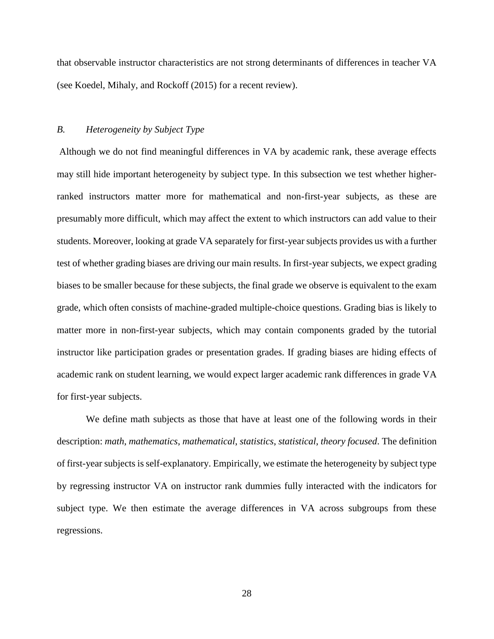that observable instructor characteristics are not strong determinants of differences in teacher VA (see Koedel, Mihaly, and Rockoff (2015) for a recent review).

## *B. Heterogeneity by Subject Type*

Although we do not find meaningful differences in VA by academic rank, these average effects may still hide important heterogeneity by subject type. In this subsection we test whether higherranked instructors matter more for mathematical and non-first-year subjects, as these are presumably more difficult, which may affect the extent to which instructors can add value to their students. Moreover, looking at grade VA separately for first-year subjects provides us with a further test of whether grading biases are driving our main results. In first-year subjects, we expect grading biases to be smaller because for these subjects, the final grade we observe is equivalent to the exam grade, which often consists of machine-graded multiple-choice questions. Grading bias is likely to matter more in non-first-year subjects, which may contain components graded by the tutorial instructor like participation grades or presentation grades. If grading biases are hiding effects of academic rank on student learning, we would expect larger academic rank differences in grade VA for first-year subjects.

We define math subjects as those that have at least one of the following words in their description: *math*, *mathematics*, *mathematical*, *statistics*, *statistical*, *theory focused*. The definition of first-year subjects is self-explanatory. Empirically, we estimate the heterogeneity by subject type by regressing instructor VA on instructor rank dummies fully interacted with the indicators for subject type. We then estimate the average differences in VA across subgroups from these regressions.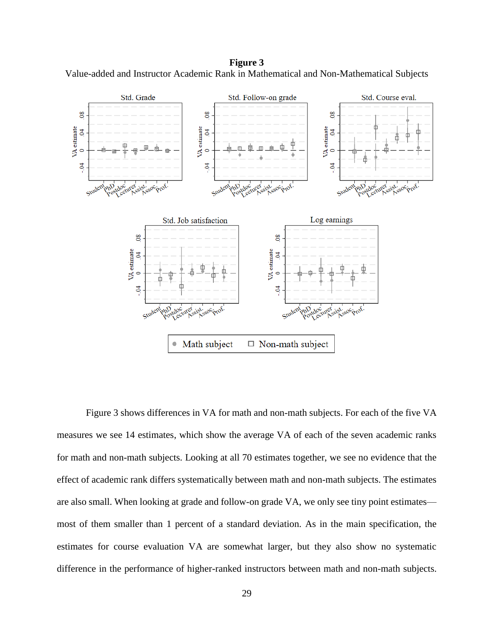**Figure 3** Value-added and Instructor Academic Rank in Mathematical and Non-Mathematical Subjects

![](_page_31_Figure_1.jpeg)

Figure 3 shows differences in VA for math and non-math subjects. For each of the five VA measures we see 14 estimates, which show the average VA of each of the seven academic ranks for math and non-math subjects. Looking at all 70 estimates together, we see no evidence that the effect of academic rank differs systematically between math and non-math subjects. The estimates are also small. When looking at grade and follow-on grade VA, we only see tiny point estimates most of them smaller than 1 percent of a standard deviation. As in the main specification, the estimates for course evaluation VA are somewhat larger, but they also show no systematic difference in the performance of higher-ranked instructors between math and non-math subjects.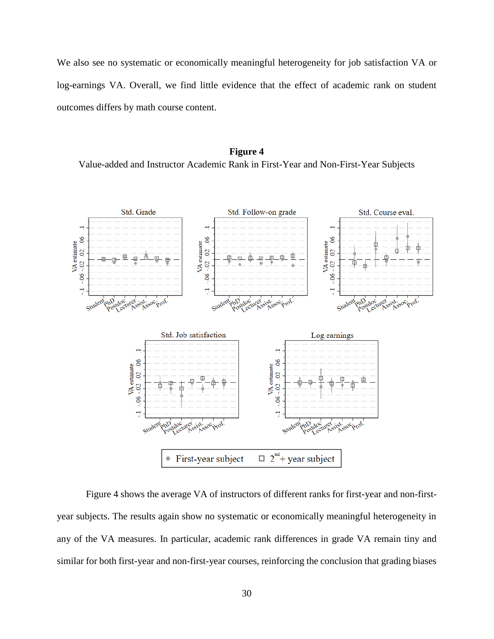We also see no systematic or economically meaningful heterogeneity for job satisfaction VA or log-earnings VA. Overall, we find little evidence that the effect of academic rank on student outcomes differs by math course content.

# **Figure 4** Value-added and Instructor Academic Rank in First-Year and Non-First-Year Subjects

![](_page_32_Figure_2.jpeg)

Figure 4 shows the average VA of instructors of different ranks for first-year and non-firstyear subjects. The results again show no systematic or economically meaningful heterogeneity in any of the VA measures. In particular, academic rank differences in grade VA remain tiny and similar for both first-year and non-first-year courses, reinforcing the conclusion that grading biases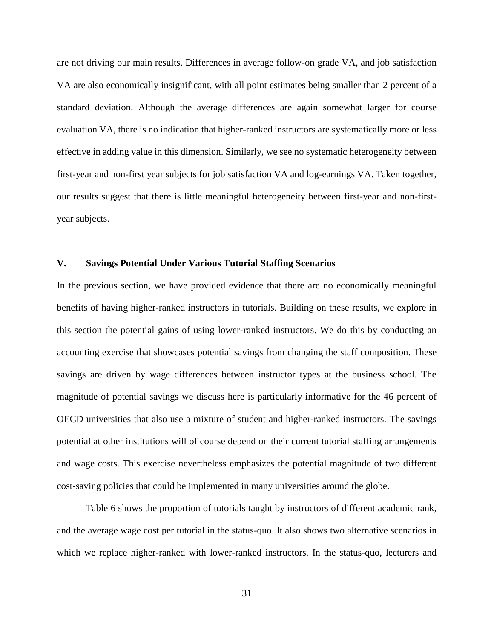are not driving our main results. Differences in average follow-on grade VA, and job satisfaction VA are also economically insignificant, with all point estimates being smaller than 2 percent of a standard deviation. Although the average differences are again somewhat larger for course evaluation VA, there is no indication that higher-ranked instructors are systematically more or less effective in adding value in this dimension. Similarly, we see no systematic heterogeneity between first-year and non-first year subjects for job satisfaction VA and log-earnings VA. Taken together, our results suggest that there is little meaningful heterogeneity between first-year and non-firstyear subjects.

# **V. Savings Potential Under Various Tutorial Staffing Scenarios**

In the previous section, we have provided evidence that there are no economically meaningful benefits of having higher-ranked instructors in tutorials. Building on these results, we explore in this section the potential gains of using lower-ranked instructors. We do this by conducting an accounting exercise that showcases potential savings from changing the staff composition. These savings are driven by wage differences between instructor types at the business school. The magnitude of potential savings we discuss here is particularly informative for the 46 percent of OECD universities that also use a mixture of student and higher-ranked instructors. The savings potential at other institutions will of course depend on their current tutorial staffing arrangements and wage costs. This exercise nevertheless emphasizes the potential magnitude of two different cost-saving policies that could be implemented in many universities around the globe.

Table 6 shows the proportion of tutorials taught by instructors of different academic rank, and the average wage cost per tutorial in the status-quo. It also shows two alternative scenarios in which we replace higher-ranked with lower-ranked instructors. In the status-quo, lecturers and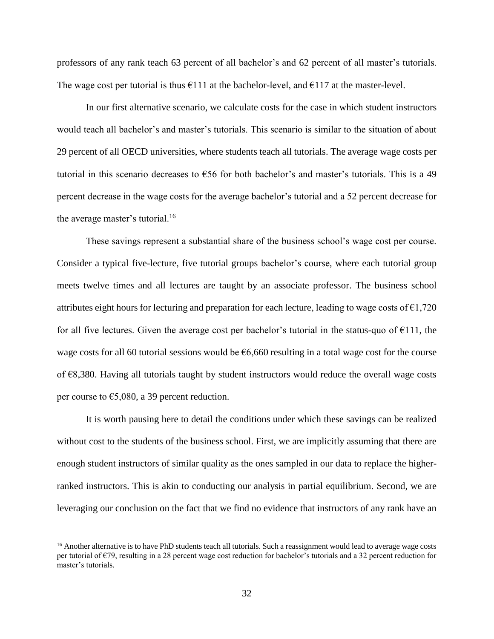professors of any rank teach 63 percent of all bachelor's and 62 percent of all master's tutorials. The wage cost per tutorial is thus  $\epsilon$ 111 at the bachelor-level, and  $\epsilon$ 117 at the master-level.

In our first alternative scenario, we calculate costs for the case in which student instructors would teach all bachelor's and master's tutorials. This scenario is similar to the situation of about 29 percent of all OECD universities, where students teach all tutorials. The average wage costs per tutorial in this scenario decreases to  $\epsilon$ 56 for both bachelor's and master's tutorials. This is a 49 percent decrease in the wage costs for the average bachelor's tutorial and a 52 percent decrease for the average master's tutorial.<sup>16</sup>

These savings represent a substantial share of the business school's wage cost per course. Consider a typical five-lecture, five tutorial groups bachelor's course, where each tutorial group meets twelve times and all lectures are taught by an associate professor. The business school attributes eight hours for lecturing and preparation for each lecture, leading to wage costs of  $\epsilon$ 1,720 for all five lectures. Given the average cost per bachelor's tutorial in the status-quo of  $\epsilon$ 111, the wage costs for all 60 tutorial sessions would be  $66,660$  resulting in a total wage cost for the course of €8,380. Having all tutorials taught by student instructors would reduce the overall wage costs per course to  $\epsilon$ 5,080, a 39 percent reduction.

It is worth pausing here to detail the conditions under which these savings can be realized without cost to the students of the business school. First, we are implicitly assuming that there are enough student instructors of similar quality as the ones sampled in our data to replace the higherranked instructors. This is akin to conducting our analysis in partial equilibrium. Second, we are leveraging our conclusion on the fact that we find no evidence that instructors of any rank have an

 $\overline{a}$ 

<sup>&</sup>lt;sup>16</sup> Another alternative is to have PhD students teach all tutorials. Such a reassignment would lead to average wage costs per tutorial of  $\epsilon$ 79, resulting in a 28 percent wage cost reduction for bachelor's tutorials and a 32 percent reduction for master's tutorials.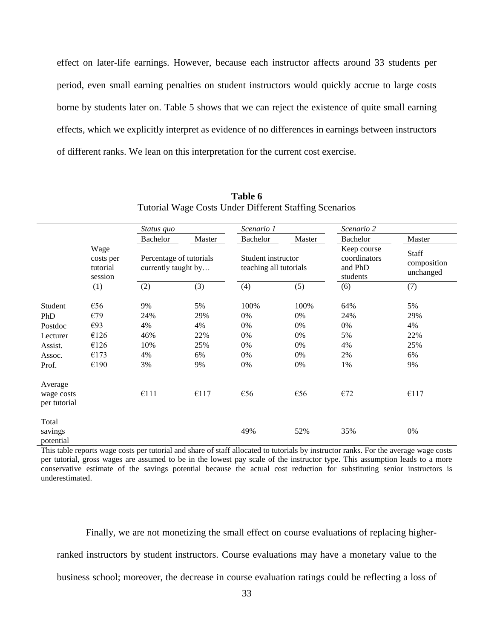effect on later-life earnings. However, because each instructor affects around 33 students per period, even small earning penalties on student instructors would quickly accrue to large costs borne by students later on. Table 5 shows that we can reject the existence of quite small earning effects, which we explicitly interpret as evidence of no differences in earnings between instructors of different ranks. We lean on this interpretation for the current cost exercise.

|                                                                     |                                                   | Status quo                                     |                                           | Scenario 1                                   |                                          | Scenario 2                                         |                                           |
|---------------------------------------------------------------------|---------------------------------------------------|------------------------------------------------|-------------------------------------------|----------------------------------------------|------------------------------------------|----------------------------------------------------|-------------------------------------------|
|                                                                     |                                                   | Bachelor                                       | Master                                    | <b>Bachelor</b>                              | Master                                   | Bachelor                                           | Master                                    |
|                                                                     | Wage<br>costs per<br>tutorial<br>session          | Percentage of tutorials<br>currently taught by |                                           | Student instructor<br>teaching all tutorials |                                          | Keep course<br>coordinators<br>and PhD<br>students | Staff<br>composition<br>unchanged         |
|                                                                     | (1)                                               | (2)                                            | (3)                                       | (4)                                          | (5)                                      | (6)                                                | (7)                                       |
| Student<br>PhD<br>Postdoc<br>Lecturer<br>Assist.<br>Assoc.<br>Prof. | €56<br>€79<br>€93<br>€126<br>€126<br>€173<br>€190 | 9%<br>24%<br>4%<br>46%<br>10%<br>4%<br>3%      | 5%<br>29%<br>4%<br>22%<br>25%<br>6%<br>9% | 100%<br>0%<br>0%<br>0%<br>0%<br>0%<br>0%     | 100%<br>0%<br>0%<br>0%<br>0%<br>0%<br>0% | 64%<br>24%<br>$0\%$<br>5%<br>4%<br>2%<br>1%        | 5%<br>29%<br>4%<br>22%<br>25%<br>6%<br>9% |
| Average<br>wage costs<br>per tutorial                               |                                                   | £111                                           | €117                                      | €56                                          | €56                                      | E72                                                | €117                                      |
| Total<br>savings<br>potential                                       |                                                   |                                                |                                           | 49%                                          | 52%                                      | 35%                                                | 0%                                        |

**Table 6** Tutorial Wage Costs Under Different Staffing Scenarios

This table reports wage costs per tutorial and share of staff allocated to tutorials by instructor ranks. For the average wage costs per tutorial, gross wages are assumed to be in the lowest pay scale of the instructor type. This assumption leads to a more conservative estimate of the savings potential because the actual cost reduction for substituting senior instructors is underestimated.

Finally, we are not monetizing the small effect on course evaluations of replacing higherranked instructors by student instructors. Course evaluations may have a monetary value to the business school; moreover, the decrease in course evaluation ratings could be reflecting a loss of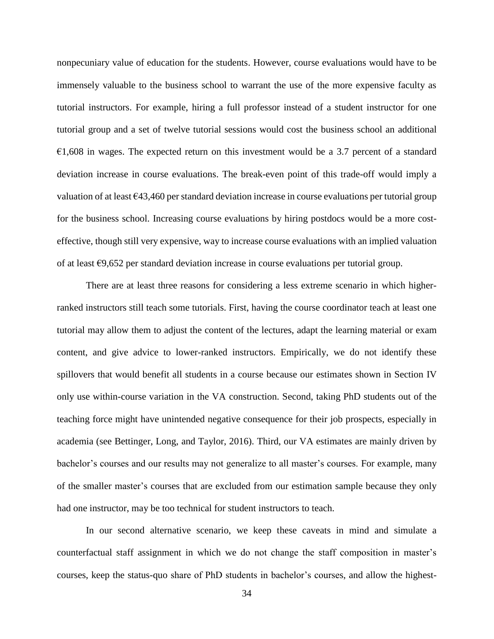nonpecuniary value of education for the students. However, course evaluations would have to be immensely valuable to the business school to warrant the use of the more expensive faculty as tutorial instructors. For example, hiring a full professor instead of a student instructor for one tutorial group and a set of twelve tutorial sessions would cost the business school an additional  $€1,608$  in wages. The expected return on this investment would be a 3.7 percent of a standard deviation increase in course evaluations. The break-even point of this trade-off would imply a valuation of at least  $\epsilon$ 43,460 per standard deviation increase in course evaluations per tutorial group for the business school. Increasing course evaluations by hiring postdocs would be a more costeffective, though still very expensive, way to increase course evaluations with an implied valuation of at least €9,652 per standard deviation increase in course evaluations per tutorial group.

There are at least three reasons for considering a less extreme scenario in which higherranked instructors still teach some tutorials. First, having the course coordinator teach at least one tutorial may allow them to adjust the content of the lectures, adapt the learning material or exam content, and give advice to lower-ranked instructors. Empirically, we do not identify these spillovers that would benefit all students in a course because our estimates shown in Section IV only use within-course variation in the VA construction. Second, taking PhD students out of the teaching force might have unintended negative consequence for their job prospects, especially in academia (see Bettinger, Long, and Taylor, 2016). Third, our VA estimates are mainly driven by bachelor's courses and our results may not generalize to all master's courses. For example, many of the smaller master's courses that are excluded from our estimation sample because they only had one instructor, may be too technical for student instructors to teach.

In our second alternative scenario, we keep these caveats in mind and simulate a counterfactual staff assignment in which we do not change the staff composition in master's courses, keep the status-quo share of PhD students in bachelor's courses, and allow the highest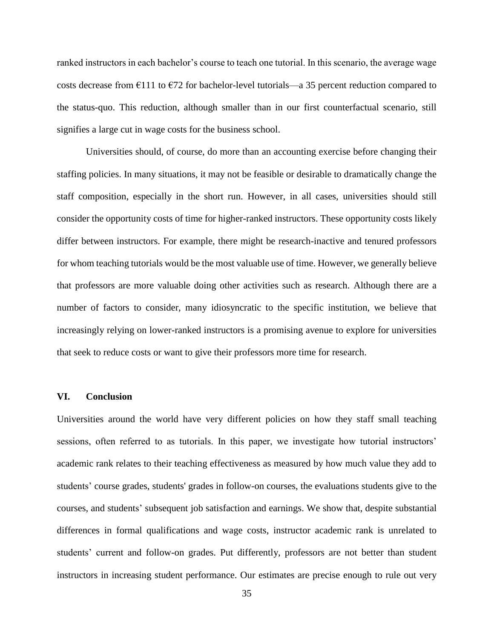ranked instructors in each bachelor's course to teach one tutorial. In this scenario, the average wage costs decrease from  $\epsilon$ 111 to  $\epsilon$ 72 for bachelor-level tutorials—a 35 percent reduction compared to the status-quo. This reduction, although smaller than in our first counterfactual scenario, still signifies a large cut in wage costs for the business school.

Universities should, of course, do more than an accounting exercise before changing their staffing policies. In many situations, it may not be feasible or desirable to dramatically change the staff composition, especially in the short run. However, in all cases, universities should still consider the opportunity costs of time for higher-ranked instructors. These opportunity costs likely differ between instructors. For example, there might be research-inactive and tenured professors for whom teaching tutorials would be the most valuable use of time. However, we generally believe that professors are more valuable doing other activities such as research. Although there are a number of factors to consider, many idiosyncratic to the specific institution, we believe that increasingly relying on lower-ranked instructors is a promising avenue to explore for universities that seek to reduce costs or want to give their professors more time for research.

# **VI. Conclusion**

Universities around the world have very different policies on how they staff small teaching sessions, often referred to as tutorials. In this paper, we investigate how tutorial instructors' academic rank relates to their teaching effectiveness as measured by how much value they add to students' course grades, students' grades in follow-on courses, the evaluations students give to the courses, and students' subsequent job satisfaction and earnings. We show that, despite substantial differences in formal qualifications and wage costs, instructor academic rank is unrelated to students' current and follow-on grades. Put differently, professors are not better than student instructors in increasing student performance. Our estimates are precise enough to rule out very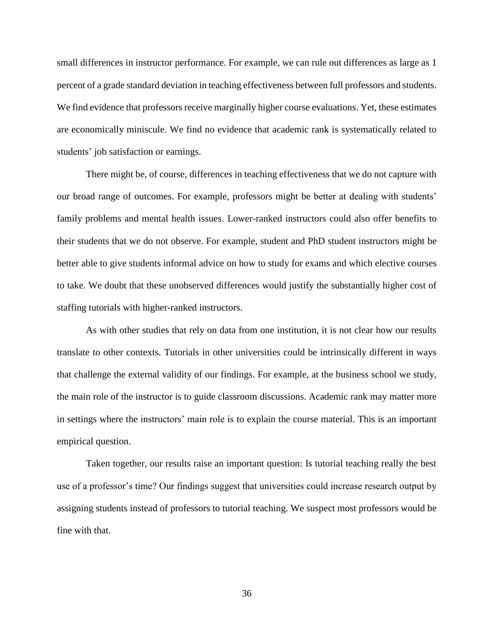small differences in instructor performance. For example, we can rule out differences as large as 1 percent of a grade standard deviation in teaching effectiveness between full professors and students. We find evidence that professors receive marginally higher course evaluations. Yet, these estimates are economically miniscule. We find no evidence that academic rank is systematically related to students' job satisfaction or earnings.

There might be, of course, differences in teaching effectiveness that we do not capture with our broad range of outcomes. For example, professors might be better at dealing with students' family problems and mental health issues. Lower-ranked instructors could also offer benefits to their students that we do not observe. For example, student and PhD student instructors might be better able to give students informal advice on how to study for exams and which elective courses to take. We doubt that these unobserved differences would justify the substantially higher cost of staffing tutorials with higher-ranked instructors.

As with other studies that rely on data from one institution, it is not clear how our results translate to other contexts. Tutorials in other universities could be intrinsically different in ways that challenge the external validity of our findings. For example, at the business school we study, the main role of the instructor is to guide classroom discussions. Academic rank may matter more in settings where the instructors' main role is to explain the course material. This is an important empirical question.

Taken together, our results raise an important question: Is tutorial teaching really the best use of a professor's time? Our findings suggest that universities could increase research output by assigning students instead of professors to tutorial teaching. We suspect most professors would be fine with that.

36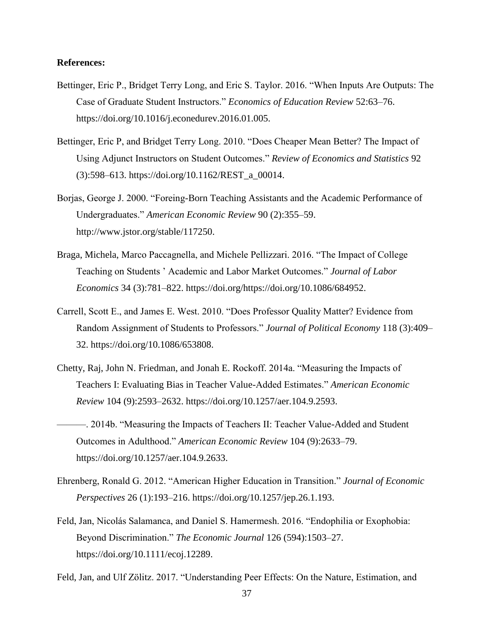## **References:**

- Bettinger, Eric P., Bridget Terry Long, and Eric S. Taylor. 2016. "When Inputs Are Outputs: The Case of Graduate Student Instructors." *Economics of Education Review* 52:63–76. https://doi.org/10.1016/j.econedurev.2016.01.005.
- Bettinger, Eric P, and Bridget Terry Long. 2010. "Does Cheaper Mean Better? The Impact of Using Adjunct Instructors on Student Outcomes." *Review of Economics and Statistics* 92 (3):598–613. https://doi.org/10.1162/REST\_a\_00014.
- Borjas, George J. 2000. "Foreing-Born Teaching Assistants and the Academic Performance of Undergraduates." *American Economic Review* 90 (2):355–59. http://www.jstor.org/stable/117250.
- Braga, Michela, Marco Paccagnella, and Michele Pellizzari. 2016. "The Impact of College Teaching on Students ' Academic and Labor Market Outcomes." *Journal of Labor Economics* 34 (3):781–822. https://doi.org/https://doi.org/10.1086/684952.
- Carrell, Scott E., and James E. West. 2010. "Does Professor Quality Matter? Evidence from Random Assignment of Students to Professors." *Journal of Political Economy* 118 (3):409– 32. https://doi.org/10.1086/653808.
- Chetty, Raj, John N. Friedman, and Jonah E. Rockoff. 2014a. "Measuring the Impacts of Teachers I: Evaluating Bias in Teacher Value-Added Estimates." *American Economic Review* 104 (9):2593–2632. https://doi.org/10.1257/aer.104.9.2593.
	- ———. 2014b. "Measuring the Impacts of Teachers II: Teacher Value-Added and Student Outcomes in Adulthood." *American Economic Review* 104 (9):2633–79. https://doi.org/10.1257/aer.104.9.2633.
- Ehrenberg, Ronald G. 2012. "American Higher Education in Transition." *Journal of Economic Perspectives* 26 (1):193–216. https://doi.org/10.1257/jep.26.1.193.
- Feld, Jan, Nicolás Salamanca, and Daniel S. Hamermesh. 2016. "Endophilia or Exophobia: Beyond Discrimination." *The Economic Journal* 126 (594):1503–27. https://doi.org/10.1111/ecoj.12289.
- Feld, Jan, and Ulf Zölitz. 2017. "Understanding Peer Effects: On the Nature, Estimation, and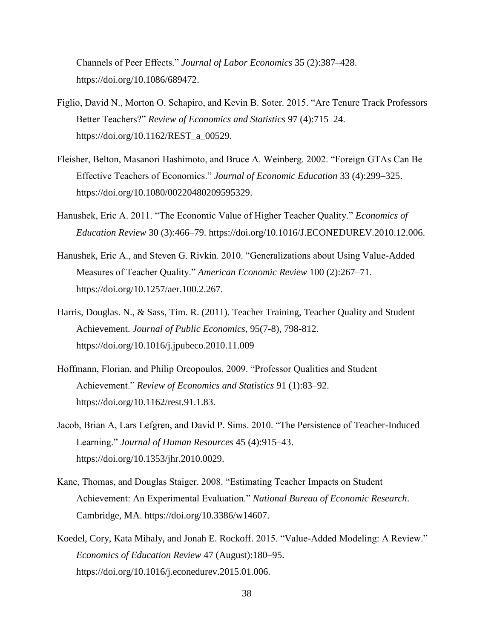Channels of Peer Effects." *Journal of Labor Economics* 35 (2):387–428. https://doi.org/10.1086/689472.

- Figlio, David N., Morton O. Schapiro, and Kevin B. Soter. 2015. "Are Tenure Track Professors Better Teachers?" *Review of Economics and Statistics* 97 (4):715–24. https://doi.org/10.1162/REST\_a\_00529.
- Fleisher, Belton, Masanori Hashimoto, and Bruce A. Weinberg. 2002. "Foreign GTAs Can Be Effective Teachers of Economics." *Journal of Economic Education* 33 (4):299–325. https://doi.org/10.1080/00220480209595329.
- Hanushek, Eric A. 2011. "The Economic Value of Higher Teacher Quality." *Economics of Education Review* 30 (3):466–79. https://doi.org/10.1016/J.ECONEDUREV.2010.12.006.
- Hanushek, Eric A., and Steven G. Rivkin. 2010. "Generalizations about Using Value-Added Measures of Teacher Quality." *American Economic Review* 100 (2):267–71. https://doi.org/10.1257/aer.100.2.267.
- Harris, Douglas. N., & Sass, Tim. R. (2011). Teacher Training, Teacher Quality and Student Achievement. *Journal of Public Economics*, 95(7-8), 798-812. <https://doi.org/10.1016/j.jpubeco.2010.11.009>
- Hoffmann, Florian, and Philip Oreopoulos. 2009. "Professor Qualities and Student Achievement." *Review of Economics and Statistics* 91 (1):83–92. https://doi.org/10.1162/rest.91.1.83.
- Jacob, Brian A, Lars Lefgren, and David P. Sims. 2010. "The Persistence of Teacher-Induced Learning." *Journal of Human Resources* 45 (4):915–43. https://doi.org/10.1353/jhr.2010.0029.
- Kane, Thomas, and Douglas Staiger. 2008. "Estimating Teacher Impacts on Student Achievement: An Experimental Evaluation." *National Bureau of Economic Research*. Cambridge, MA. https://doi.org/10.3386/w14607.
- Koedel, Cory, Kata Mihaly, and Jonah E. Rockoff. 2015. "Value-Added Modeling: A Review." *Economics of Education Review* 47 (August):180–95. https://doi.org/10.1016/j.econedurev.2015.01.006.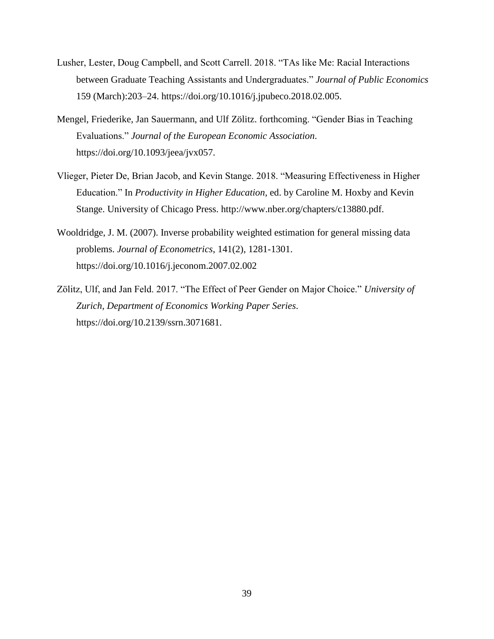- Lusher, Lester, Doug Campbell, and Scott Carrell. 2018. "TAs like Me: Racial Interactions between Graduate Teaching Assistants and Undergraduates." *Journal of Public Economics* 159 (March):203–24. https://doi.org/10.1016/j.jpubeco.2018.02.005.
- Mengel, Friederike, Jan Sauermann, and Ulf Zölitz. forthcoming. "Gender Bias in Teaching Evaluations." *Journal of the European Economic Association*. https://doi.org/10.1093/jeea/jvx057.
- Vlieger, Pieter De, Brian Jacob, and Kevin Stange. 2018. "Measuring Effectiveness in Higher Education." In *Productivity in Higher Education*, ed. by Caroline M. Hoxby and Kevin Stange. University of Chicago Press. http://www.nber.org/chapters/c13880.pdf.
- Wooldridge, J. M. (2007). Inverse probability weighted estimation for general missing data problems. *Journal of Econometrics*, 141(2), 1281-1301. <https://doi.org/10.1016/j.jeconom.2007.02.002>
- Zölitz, Ulf, and Jan Feld. 2017. "The Effect of Peer Gender on Major Choice." *University of Zurich, Department of Economics Working Paper Series*. https://doi.org/10.2139/ssrn.3071681.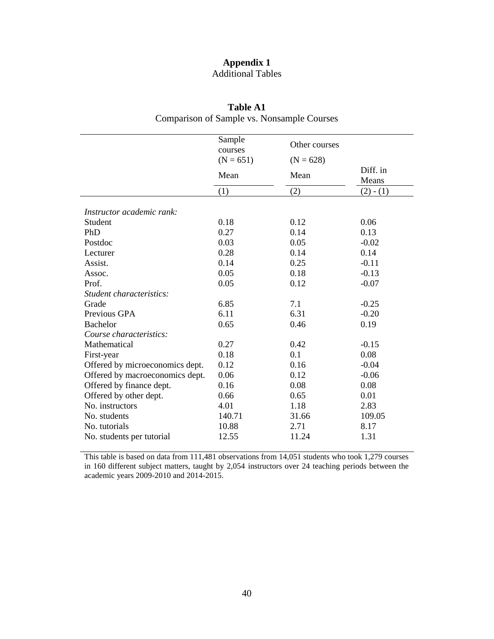# **Appendix 1** Additional Tables

|                                 | Sample<br>courses | Other courses |                   |
|---------------------------------|-------------------|---------------|-------------------|
|                                 | $(N = 651)$       | $(N = 628)$   |                   |
|                                 | Mean              | Mean          | Diff. in<br>Means |
|                                 | (1)               | (2)           | $(2) - (1)$       |
| Instructor academic rank:       |                   |               |                   |
| Student                         | 0.18              | 0.12          | 0.06              |
| PhD                             | 0.27              | 0.14          | 0.13              |
| Postdoc                         | 0.03              | 0.05          | $-0.02$           |
| Lecturer                        | 0.28              | 0.14          | 0.14              |
| Assist.                         | 0.14              | 0.25          | $-0.11$           |
| Assoc.                          | 0.05              | 0.18          | $-0.13$           |
| Prof.                           | 0.05              | 0.12          | $-0.07$           |
| Student characteristics:        |                   |               |                   |
| Grade                           | 6.85              | 7.1           | $-0.25$           |
| Previous GPA                    | 6.11              | 6.31          | $-0.20$           |
| <b>Bachelor</b>                 | 0.65              | 0.46          | 0.19              |
| Course characteristics:         |                   |               |                   |
| Mathematical                    | 0.27              | 0.42          | $-0.15$           |
| First-year                      | 0.18              | 0.1           | 0.08              |
| Offered by microeconomics dept. | 0.12              | 0.16          | $-0.04$           |
| Offered by macroeconomics dept. | 0.06              | 0.12          | $-0.06$           |
| Offered by finance dept.        | 0.16              | 0.08          | 0.08              |
| Offered by other dept.          | 0.66              | 0.65          | 0.01              |
| No. instructors                 | 4.01              | 1.18          | 2.83              |
| No. students                    | 140.71            | 31.66         | 109.05            |
| No. tutorials                   | 10.88             | 2.71          | 8.17              |
| No. students per tutorial       | 12.55             | 11.24         | 1.31              |

**Table A1** Comparison of Sample vs. Nonsample Courses

This table is based on data from 111,481 observations from 14,051 students who took 1,279 courses in 160 different subject matters, taught by 2,054 instructors over 24 teaching periods between the academic years 2009-2010 and 2014-2015.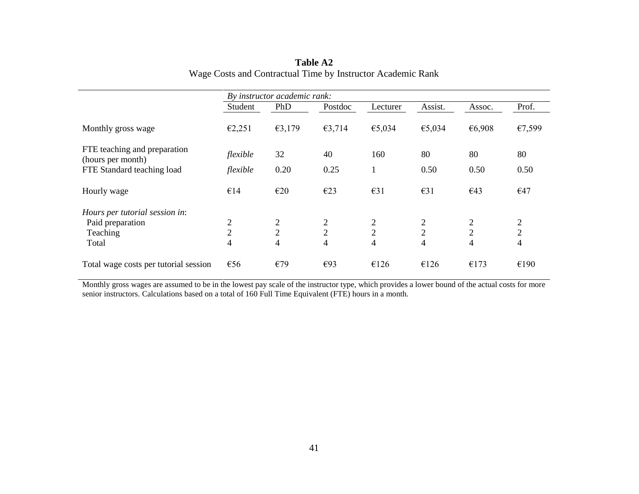|                                                   |                | By instructor academic rank: |                |                |                |                |                |
|---------------------------------------------------|----------------|------------------------------|----------------|----------------|----------------|----------------|----------------|
|                                                   | Student        | PhD                          | Postdoc        | Lecturer       | Assist.        | Assoc.         | Prof.          |
| Monthly gross wage                                | €2,251         | €3,179                       | €3,714         | €5,034         | €5,034         | €6,908         | €7,599         |
| FTE teaching and preparation<br>(hours per month) | flexible       | 32                           | 40             | 160            | 80             | 80             | 80             |
| FTE Standard teaching load                        | flexible       | 0.20                         | 0.25           |                | 0.50           | 0.50           | 0.50           |
| Hourly wage                                       | €14            | E20                          | E23            | $\epsilon$ 31  | $\epsilon$ 31  | €43            | €47            |
| Hours per tutorial session in:                    |                |                              |                |                |                |                |                |
| Paid preparation                                  | 2              | 2                            | $\overline{2}$ | 2              | 2              | $\overline{2}$ | 2              |
| Teaching                                          | $\overline{2}$ | $\overline{2}$               | $\overline{2}$ | $\overline{2}$ | $\overline{2}$ | $\overline{2}$ | $\overline{2}$ |
| Total                                             | $\overline{4}$ | $\overline{4}$               | $\overline{4}$ | 4              | 4              | $\overline{4}$ | $\overline{4}$ |
| Total wage costs per tutorial session             | €56            | €79                          | E93            | €126           | €126           | €173           | €190           |

# **Table A2** Wage Costs and Contractual Time by Instructor Academic Rank

Monthly gross wages are assumed to be in the lowest pay scale of the instructor type, which provides a lower bound of the actual costs for more senior instructors. Calculations based on a total of 160 Full Time Equivalent (FTE) hours in a month.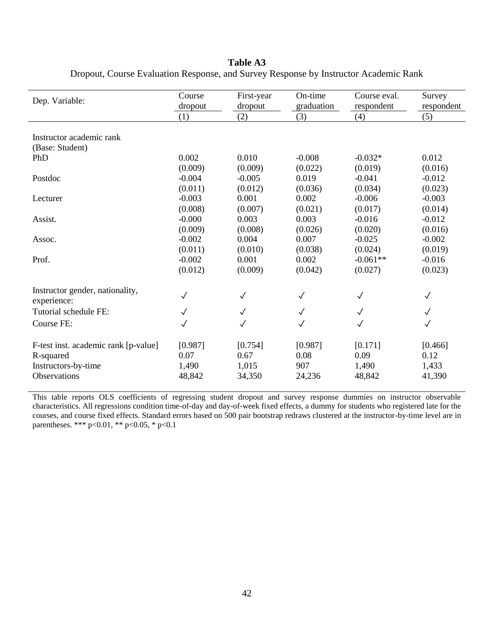**Table A3**

| Dep. Variable:                       | Course<br>dropout | First-year<br>dropout | On-time<br>graduation | Course eval.<br>respondent | Survey<br>respondent |
|--------------------------------------|-------------------|-----------------------|-----------------------|----------------------------|----------------------|
|                                      | (1)               | (2)                   | (3)                   | (4)                        | (5)                  |
|                                      |                   |                       |                       |                            |                      |
| Instructor academic rank             |                   |                       |                       |                            |                      |
| (Base: Student)                      |                   |                       |                       |                            |                      |
| PhD                                  | 0.002             | 0.010                 | $-0.008$              | $-0.032*$                  | 0.012                |
|                                      | (0.009)           | (0.009)               | (0.022)               | (0.019)                    | (0.016)              |
| Postdoc                              | $-0.004$          | $-0.005$              | 0.019                 | $-0.041$                   | $-0.012$             |
|                                      | (0.011)           | (0.012)               | (0.036)               | (0.034)                    | (0.023)              |
| Lecturer                             | $-0.003$          | 0.001                 | 0.002                 | $-0.006$                   | $-0.003$             |
|                                      | (0.008)           | (0.007)               | (0.021)               | (0.017)                    | (0.014)              |
| Assist.                              | $-0.000$          | 0.003                 | 0.003                 | $-0.016$                   | $-0.012$             |
|                                      | (0.009)           | (0.008)               | (0.026)               | (0.020)                    | (0.016)              |
| Assoc.                               | $-0.002$          | 0.004                 | 0.007                 | $-0.025$                   | $-0.002$             |
|                                      | (0.011)           | (0.010)               | (0.038)               | (0.024)                    | (0.019)              |
| Prof.                                | $-0.002$          | 0.001                 | 0.002                 | $-0.061**$                 | $-0.016$             |
|                                      | (0.012)           | (0.009)               | (0.042)               | (0.027)                    | (0.023)              |
| Instructor gender, nationality,      |                   |                       |                       |                            |                      |
| experience:                          | $\checkmark$      | $\checkmark$          | $\checkmark$          | $\checkmark$               | $\checkmark$         |
| Tutorial schedule FE:                | $\checkmark$      | $\checkmark$          | $\checkmark$          | $\checkmark$               | $\checkmark$         |
| Course FE:                           | $\checkmark$      | $\checkmark$          | $\checkmark$          | $\checkmark$               | $\checkmark$         |
| F-test inst. academic rank [p-value] | [0.987]           | [0.754]               | [0.987]               | [0.171]                    | [0.466]              |
| R-squared                            | 0.07              | 0.67                  | 0.08                  | 0.09                       | 0.12                 |
| Instructors-by-time                  | 1,490             | 1,015                 | 907                   | 1,490                      | 1,433                |
| <b>Observations</b>                  | 48,842            | 34,350                | 24,236                | 48,842                     | 41,390               |

Dropout, Course Evaluation Response, and Survey Response by Instructor Academic Rank

This table reports OLS coefficients of regressing student dropout and survey response dummies on instructor observable characteristics. All regressions condition time-of-day and day-of-week fixed effects, a dummy for students who registered late for the courses, and course fixed effects. Standard errors based on 500 pair bootstrap redraws clustered at the instructor-by-time level are in parentheses. \*\*\* p<0.01, \*\* p<0.05, \* p<0.1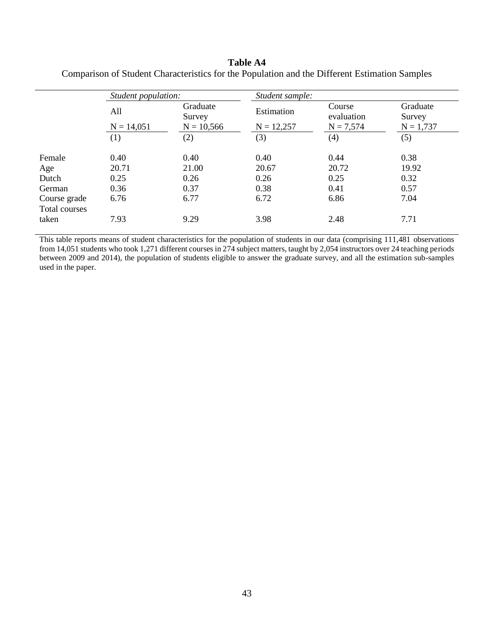# **Table A4**

|                               | Student population: |                    | Student sample: |                      |                    |
|-------------------------------|---------------------|--------------------|-----------------|----------------------|--------------------|
|                               | All                 | Graduate<br>Survey | Estimation      | Course<br>evaluation | Graduate<br>Survey |
|                               | $N = 14,051$        | $N = 10,566$       | $N = 12,257$    | $N = 7,574$          | $N = 1,737$        |
|                               | (1)                 | (2)                | (3)             | (4)                  | (5)                |
| Female                        | 0.40                | 0.40               | 0.40            | 0.44                 | 0.38               |
| Age                           | 20.71               | 21.00              | 20.67           | 20.72                | 19.92              |
| Dutch                         | 0.25                | 0.26               | 0.26            | 0.25                 | 0.32               |
| German                        | 0.36                | 0.37               | 0.38            | 0.41                 | 0.57               |
| Course grade<br>Total courses | 6.76                | 6.77               | 6.72            | 6.86                 | 7.04               |
| taken                         | 7.93                | 9.29               | 3.98            | 2.48                 | 7.71               |

Comparison of Student Characteristics for the Population and the Different Estimation Samples

This table reports means of student characteristics for the population of students in our data (comprising 111,481 observations from 14,051 students who took 1,271 different courses in 274 subject matters, taught by 2,054 instructors over 24 teaching periods between 2009 and 2014), the population of students eligible to answer the graduate survey, and all the estimation sub-samples used in the paper.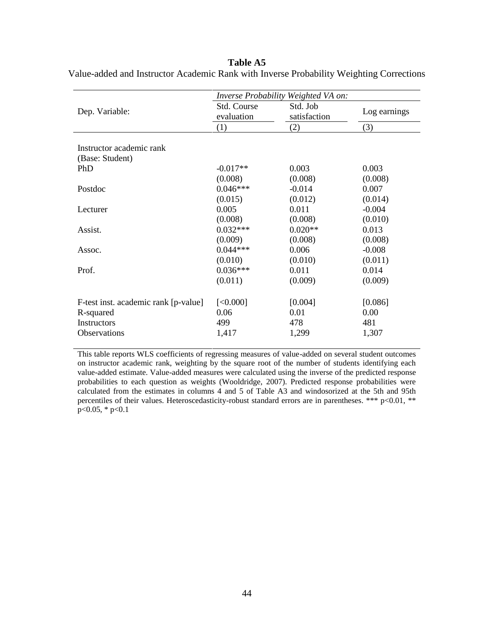## **Table A5**

|                                      | Inverse Probability Weighted VA on: |              |              |
|--------------------------------------|-------------------------------------|--------------|--------------|
| Dep. Variable:                       | Std. Course                         | Std. Job     | Log earnings |
|                                      | evaluation                          | satisfaction |              |
|                                      | (1)                                 | (2)          | (3)          |
|                                      |                                     |              |              |
| Instructor academic rank             |                                     |              |              |
| (Base: Student)                      |                                     |              |              |
| <b>PhD</b>                           | $-0.017**$                          | 0.003        | 0.003        |
|                                      | (0.008)                             | (0.008)      | (0.008)      |
| Postdoc                              | $0.046***$                          | $-0.014$     | 0.007        |
|                                      | (0.015)                             | (0.012)      | (0.014)      |
| Lecturer                             | 0.005                               | 0.011        | $-0.004$     |
|                                      | (0.008)                             | (0.008)      | (0.010)      |
| Assist.                              | $0.032***$                          | $0.020**$    | 0.013        |
|                                      | (0.009)                             | (0.008)      | (0.008)      |
| Assoc.                               | $0.044***$                          | 0.006        | $-0.008$     |
|                                      | (0.010)                             | (0.010)      | (0.011)      |
| Prof.                                | $0.036***$                          | 0.011        | 0.014        |
|                                      | (0.011)                             | (0.009)      | (0.009)      |
|                                      |                                     |              |              |
| F-test inst. academic rank [p-value] | [<0.000]                            | [0.004]      | [0.086]      |
| R-squared                            | 0.06                                | 0.01         | 0.00         |
| <b>Instructors</b>                   | 499                                 | 478          | 481          |
| <b>Observations</b>                  | 1,417                               | 1,299        | 1,307        |
|                                      |                                     |              |              |

Value-added and Instructor Academic Rank with Inverse Probability Weighting Corrections

This table reports WLS coefficients of regressing measures of value-added on several student outcomes on instructor academic rank, weighting by the square root of the number of students identifying each value-added estimate. Value-added measures were calculated using the inverse of the predicted response probabilities to each question as weights (Wooldridge, 2007). Predicted response probabilities were calculated from the estimates in columns 4 and 5 of Table A3 and windosorized at the 5th and 95th percentiles of their values. Heteroscedasticity-robust standard errors are in parentheses. \*\*\* p<0.01, \*\* p<0.05, \* p<0.1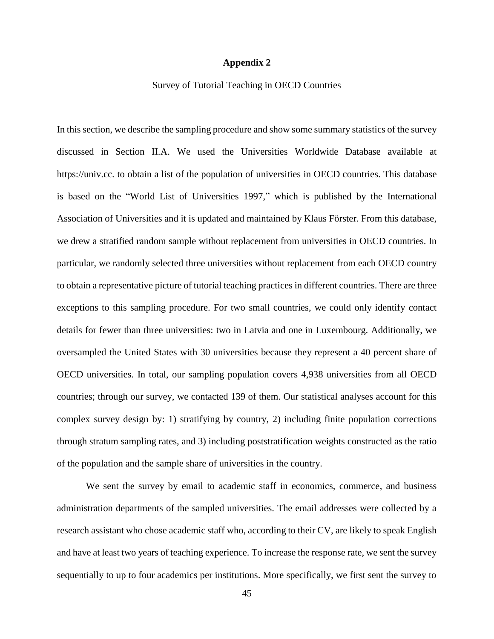## **Appendix 2**

### Survey of Tutorial Teaching in OECD Countries

In this section, we describe the sampling procedure and show some summary statistics of the survey discussed in Section II.A. We used the Universities Worldwide Database available at https://univ.cc. to obtain a list of the population of universities in OECD countries. This database is based on the "World List of Universities 1997," which is published by the International Association of Universities and it is updated and maintained by Klaus Förster. From this database, we drew a stratified random sample without replacement from universities in OECD countries. In particular, we randomly selected three universities without replacement from each OECD country to obtain a representative picture of tutorial teaching practices in different countries. There are three exceptions to this sampling procedure. For two small countries, we could only identify contact details for fewer than three universities: two in Latvia and one in Luxembourg. Additionally, we oversampled the United States with 30 universities because they represent a 40 percent share of OECD universities. In total, our sampling population covers 4,938 universities from all OECD countries; through our survey, we contacted 139 of them. Our statistical analyses account for this complex survey design by: 1) stratifying by country, 2) including finite population corrections through stratum sampling rates, and 3) including poststratification weights constructed as the ratio of the population and the sample share of universities in the country.

We sent the survey by email to academic staff in economics, commerce, and business administration departments of the sampled universities. The email addresses were collected by a research assistant who chose academic staff who, according to their CV, are likely to speak English and have at least two years of teaching experience. To increase the response rate, we sent the survey sequentially to up to four academics per institutions. More specifically, we first sent the survey to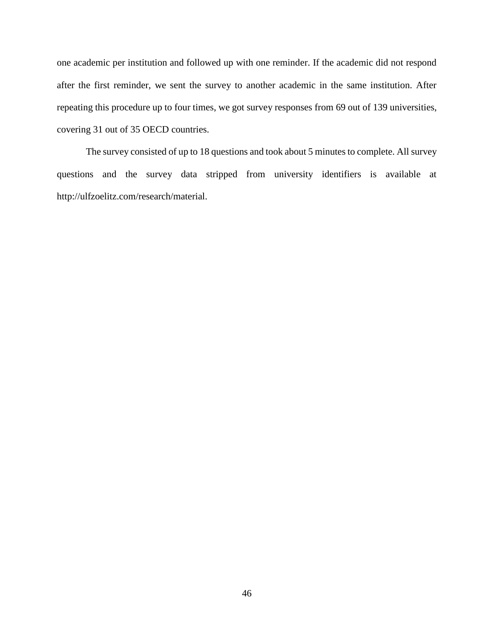one academic per institution and followed up with one reminder. If the academic did not respond after the first reminder, we sent the survey to another academic in the same institution. After repeating this procedure up to four times, we got survey responses from 69 out of 139 universities, covering 31 out of 35 OECD countries.

The survey consisted of up to 18 questions and took about 5 minutes to complete. All survey questions and the survey data stripped from university identifiers is available at http://ulfzoelitz.com/research/material.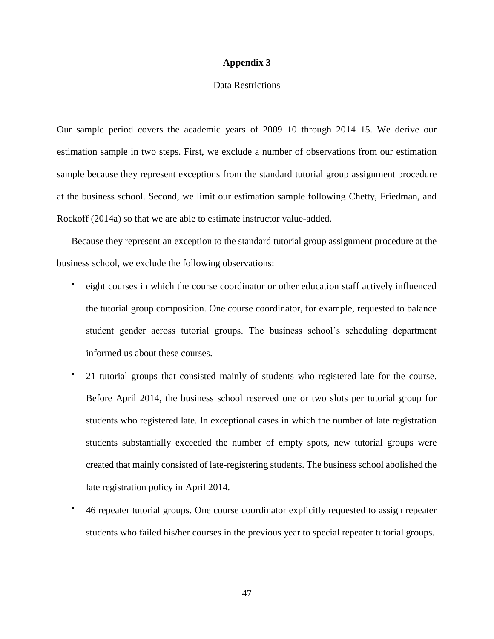### **Appendix 3**

# Data Restrictions

Our sample period covers the academic years of 2009–10 through 2014–15. We derive our estimation sample in two steps. First, we exclude a number of observations from our estimation sample because they represent exceptions from the standard tutorial group assignment procedure at the business school. Second, we limit our estimation sample following Chetty, Friedman, and Rockoff (2014a) so that we are able to estimate instructor value-added.

Because they represent an exception to the standard tutorial group assignment procedure at the business school, we exclude the following observations:

- eight courses in which the course coordinator or other education staff actively influenced the tutorial group composition. One course coordinator, for example, requested to balance student gender across tutorial groups. The business school's scheduling department informed us about these courses.
- 21 tutorial groups that consisted mainly of students who registered late for the course. Before April 2014, the business school reserved one or two slots per tutorial group for students who registered late. In exceptional cases in which the number of late registration students substantially exceeded the number of empty spots, new tutorial groups were created that mainly consisted of late-registering students. The business school abolished the late registration policy in April 2014.
- 46 repeater tutorial groups. One course coordinator explicitly requested to assign repeater students who failed his/her courses in the previous year to special repeater tutorial groups.

47